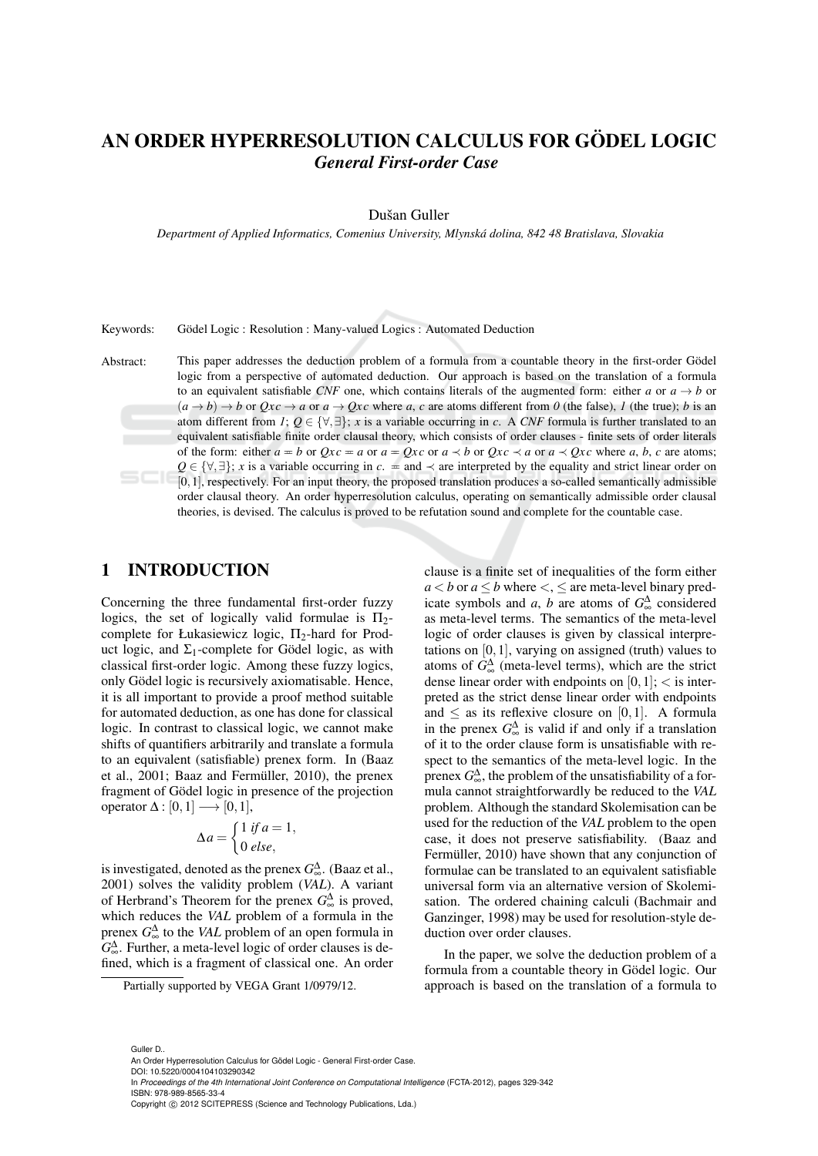# AN ORDER HYPERRESOLUTION CALCULUS FOR GÖDEL LOGIC *General First-order Case*

#### Dušan Guller

*Department of Applied Informatics, Comenius University, Mlynska dolina, 842 48 Bratislava, Slovakia ´*

Keywords: Gödel Logic : Resolution : Many-valued Logics : Automated Deduction

Abstract: This paper addresses the deduction problem of a formula from a countable theory in the first-order Gödel logic from a perspective of automated deduction. Our approach is based on the translation of a formula to an equivalent satisfiable *CNF* one, which contains literals of the augmented form: either *a* or  $a \rightarrow b$  or  $(a \rightarrow b) \rightarrow b$  or  $Qxc \rightarrow a$  or  $a \rightarrow Qxc$  where a, c are atoms different from 0 (the false), *1* (the true); *b* is an atom different from *1*;  $Q \in \{\forall, \exists\}$ ; *x* is a variable occurring in *c*. A *CNF* formula is further translated to an equivalent satisfiable finite order clausal theory, which consists of order clauses - finite sets of order literals of the form: either  $a = b$  or  $Qxc = a$  or  $a = Qxc$  or  $a \prec b$  or  $Qxc \prec a$  or  $a \prec Qxc$  where *a*, *b*, *c* are atoms;  $Q \in \{\forall, \exists\}; x$  is a variable occurring in  $c =$  and  $\prec$  are interpreted by the equality and strict linear order on [0,1], respectively. For an input theory, the proposed translation produces a so-called semantically admissible order clausal theory. An order hyperresolution calculus, operating on semantically admissible order clausal theories, is devised. The calculus is proved to be refutation sound and complete for the countable case.

## 1 INTRODUCTION

Concerning the three fundamental first-order fuzzy logics, the set of logically valid formulae is  $\Pi_2$ complete for Łukasiewicz logic,  $\Pi_2$ -hard for Product logic, and  $\Sigma_1$ -complete for Gödel logic, as with classical first-order logic. Among these fuzzy logics, only Gödel logic is recursively axiomatisable. Hence, it is all important to provide a proof method suitable for automated deduction, as one has done for classical logic. In contrast to classical logic, we cannot make shifts of quantifiers arbitrarily and translate a formula to an equivalent (satisfiable) prenex form. In (Baaz et al., 2001; Baaz and Fermüller, 2010), the prenex fragment of Gödel logic in presence of the projection operator  $\Delta : [0,1] \longrightarrow [0,1],$ 

$$
\Delta a = \begin{cases} 1 & \text{if } a = 1, \\ 0 & \text{else,} \end{cases}
$$

is investigated, denoted as the prenex  $G_{\infty}^{\Delta}$ . (Baaz et al., 2001) solves the validity problem (*VAL*). A variant of Herbrand's Theorem for the prenex  $G_{\infty}^{\Delta}$  is proved, which reduces the *VAL* problem of a formula in the prenex  $G_{\infty}^{\Delta}$  to the *VAL* problem of an open formula in  $G_{\infty}^{\Delta}$ . Further, a meta-level logic of order clauses is defined, which is a fragment of classical one. An order

Partially supported by VEGA Grant 1/0979/12.

clause is a finite set of inequalities of the form either  $a < b$  or  $a \le b$  where  $\lt, \lt, \le a$  are meta-level binary predicate symbols and *a*, *b* are atoms of  $G_{\infty}^{\Delta}$  considered as meta-level terms. The semantics of the meta-level logic of order clauses is given by classical interpretations on  $[0,1]$ , varying on assigned (truth) values to atoms of  $G_{\infty}^{\Delta}$  (meta-level terms), which are the strict dense linear order with endpoints on  $[0,1]$ ;  $\lt$  is interpreted as the strict dense linear order with endpoints and  $\leq$  as its reflexive closure on [0,1]. A formula in the prenex  $G_{\infty}^{\Delta}$  is valid if and only if a translation of it to the order clause form is unsatisfiable with respect to the semantics of the meta-level logic. In the prenex  $G_{\infty}^{\Delta}$ , the problem of the unsatisfiability of a formula cannot straightforwardly be reduced to the *VAL* problem. Although the standard Skolemisation can be used for the reduction of the *VAL* problem to the open case, it does not preserve satisfiability. (Baaz and Fermüller, 2010) have shown that any conjunction of formulae can be translated to an equivalent satisfiable universal form via an alternative version of Skolemisation. The ordered chaining calculi (Bachmair and Ganzinger, 1998) may be used for resolution-style deduction over order clauses.

In the paper, we solve the deduction problem of a formula from a countable theory in Gödel logic. Our approach is based on the translation of a formula to

Guller D..

An Order Hyperresolution Calculus for Gödel Logic - General First-order Case. DOI: 10.5220/0004104103290342

In *Proceedings of the 4th International Joint Conference on Computational Intelligence* (FCTA-2012), pages 329-342 ISBN: 978-989-8565-33-4

Copyright (C) 2012 SCITEPRESS (Science and Technology Publications, Lda.)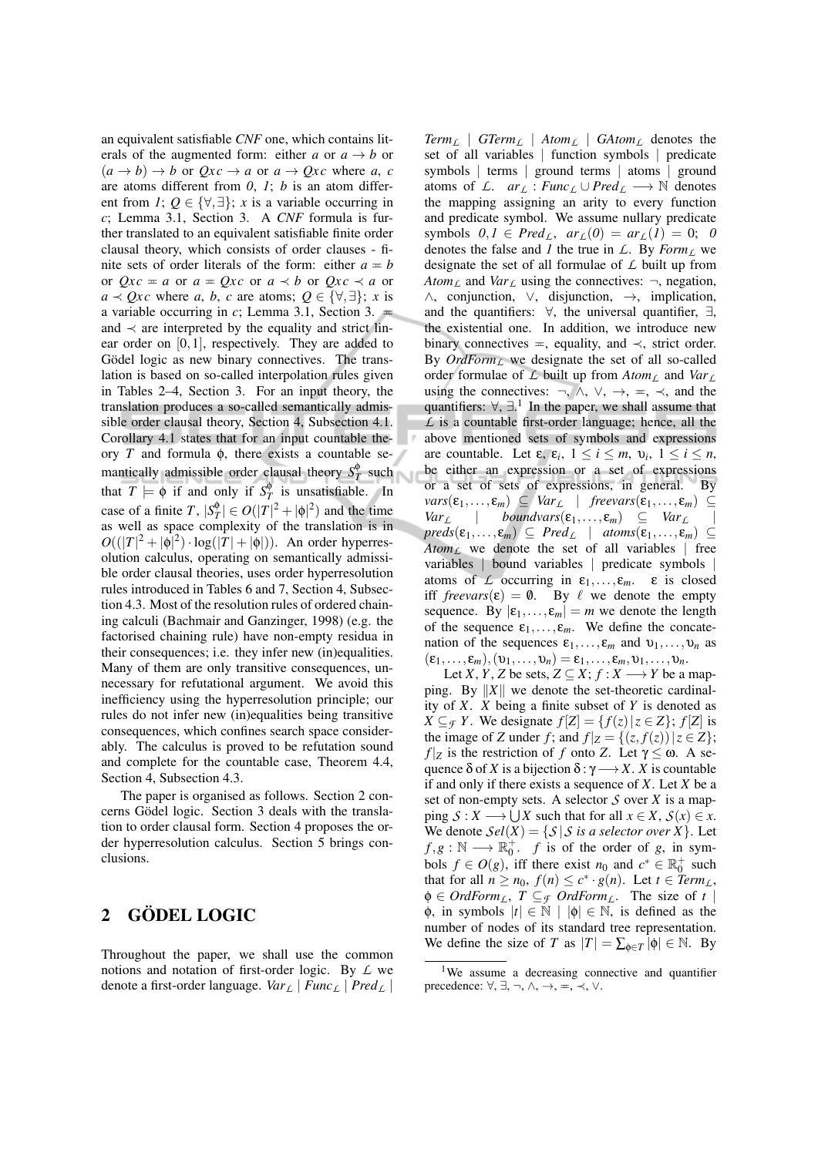an equivalent satisfiable *CNF* one, which contains literals of the augmented form: either *a* or  $a \rightarrow b$  or  $(a \rightarrow b) \rightarrow b$  or  $Qxc \rightarrow a$  or  $a \rightarrow Qxc$  where a, c are atoms different from *0*, *1*; *b* is an atom different from *1*;  $Q \in \{ \forall, \exists \}$ ; *x* is a variable occurring in *c*; Lemma 3.1, Section 3. A *CNF* formula is further translated to an equivalent satisfiable finite order clausal theory, which consists of order clauses - finite sets of order literals of the form: either  $a = b$ or  $Qxc = a$  or  $a = Qxc$  or  $a \prec b$  or  $Qxc \prec a$  or  $a \prec Qxc$  where *a*, *b*, *c* are atoms;  $Q \in \{\forall, \exists\}$ ; *x* is a variable occurring in  $c$ ; Lemma 3.1, Section 3.  $\equiv$ and  $\prec$  are interpreted by the equality and strict linear order on [0,1], respectively. They are added to Gödel logic as new binary connectives. The translation is based on so-called interpolation rules given in Tables 2–4, Section 3. For an input theory, the translation produces a so-called semantically admissible order clausal theory, Section 4, Subsection 4.1. Corollary 4.1 states that for an input countable theory *T* and formula φ, there exists a countable semantically admissible order clausal theory  $S_T^{\phi}$  such that  $T \models \phi$  if and only if  $S_T^{\phi}$  is unsatisfiable. In case of a finite *T*,  $|S_T^{\phi}| \in O(|T|^2 + |\phi|^2)$  and the time as well as space complexity of the translation is in  $O((|T|^2 + |\phi|^2) \cdot \log(|T| + |\phi|)).$  An order hyperresolution calculus, operating on semantically admissible order clausal theories, uses order hyperresolution rules introduced in Tables 6 and 7, Section 4, Subsection 4.3. Most of the resolution rules of ordered chaining calculi (Bachmair and Ganzinger, 1998) (e.g. the factorised chaining rule) have non-empty residua in their consequences; i.e. they infer new (in)equalities. Many of them are only transitive consequences, unnecessary for refutational argument. We avoid this inefficiency using the hyperresolution principle; our rules do not infer new (in)equalities being transitive consequences, which confines search space considerably. The calculus is proved to be refutation sound and complete for the countable case, Theorem 4.4, Section 4, Subsection 4.3.

The paper is organised as follows. Section 2 concerns Gödel logic. Section 3 deals with the translation to order clausal form. Section 4 proposes the order hyperresolution calculus. Section 5 brings conclusions.

## 2 GÖDEL LOGIC

Throughout the paper, we shall use the common notions and notation of first-order logic. By *L* we denote a first-order language. *Var<sup>L</sup>* | *Func<sup>L</sup>* | *Pred<sup>L</sup>* |

*Term<sup>L</sup>* | *GTerm<sup>L</sup>* | *Atom<sup>L</sup>* | *GAtom<sup>L</sup>* denotes the set of all variables | function symbols | predicate symbols | terms | ground terms | atoms | ground atoms of *L*.  $ar_L : Func_L \cup Pred_L \longrightarrow \mathbb{N}$  denotes the mapping assigning an arity to every function and predicate symbol. We assume nullary predicate  $\text{symbols} \quad 0, I \in \text{Pred}_{\ell}$ ,  $\text{ar}_L(0) = \text{ar}_L(1) = 0; 0$ denotes the false and *1* the true in  $\mathcal{L}$ . By *Form*<sub>*L*</sub> we designate the set of all formulae of *L* built up from *Atom*<sub>*L*</sub> and *Var*<sub>*L*</sub> using the connectives:  $\neg$ , negation, ∧, conjunction, ∨, disjunction, →, implication, and the quantifiers:  $\forall$ , the universal quantifier,  $\exists$ , the existential one. In addition, we introduce new binary connectives  $=$ , equality, and  $\prec$ , strict order. By *OrdFormL* we designate the set of all so-called order formulae of *L* built up from *Atom<sup>L</sup>* and *Var<sup>L</sup>* using the connectives:  $\neg$ ,  $\wedge$ ,  $\vee$ ,  $\rightarrow$ ,  $\Leftarrow$ ,  $\prec$ , and the quantifiers:  $\forall$ ,  $\exists$ .<sup>1</sup> In the paper, we shall assume that *L* is a countable first-order language; hence, all the above mentioned sets of symbols and expressions are countable. Let  $\varepsilon$ ,  $\varepsilon$ <sub>*i*</sub>,  $1 \le i \le m$ ,  $v$ <sub>*i*</sub>,  $1 \le i \le n$ , be either an expression or a set of expressions or a set of sets of expressions, in general. By  $vars(\varepsilon_1,...,\varepsilon_m) \subseteq Var_{\mathcal{L}} \mid freevars(\varepsilon_1,...,\varepsilon_m) \subseteq Var_{\mathcal{L}}$ <br>  $Var_{\mathcal{L}} \mid boundedvars(\varepsilon_1,...,\varepsilon_m) \subseteq Var_{\mathcal{L}} \mid$  $\mathit{boundvars}(\varepsilon_1,\ldots,\varepsilon_m) \subseteq \mathit{Var}_L$  $preds(\varepsilon_1,...,\varepsilon_m) \subseteq Pred_{\mathcal{L}} \mid atoms(\varepsilon_1,...,\varepsilon_m) \subseteq$  $Atom<sub>L</sub>$  we denote the set of all variables | free variables | bound variables | predicate symbols | atoms of *L* occurring in  $\varepsilon_1, \ldots, \varepsilon_m$ .  $\varepsilon$  is closed iff *freevars*( $\varepsilon$ ) = 0. By  $\ell$  we denote the empty sequence. By  $|\varepsilon_1,...,\varepsilon_m| = m$  we denote the length of the sequence  $\varepsilon_1, \ldots, \varepsilon_m$ . We define the concatenation of the sequences  $\varepsilon_1, \ldots, \varepsilon_m$  and  $v_1, \ldots, v_n$  as  $(\varepsilon_1,\ldots,\varepsilon_m),(\nu_1,\ldots,\nu_n)=\varepsilon_1,\ldots,\varepsilon_m,\nu_1,\ldots,\nu_n.$ 

Let *X*, *Y*, *Z* be sets,  $Z \subseteq X$ ;  $f : X \longrightarrow Y$  be a mapping. By  $||X||$  we denote the set-theoretic cardinality of *X*. *X* being a finite subset of *Y* is denoted as *X* ⊆  $\mathcal{F}$  *Y*. We designate  $f$ [*Z*] = { $f(z)$ |*z* ∈ *Z*};  $f$ [*Z*] is the image of *Z* under *f*; and  $f|_Z = \{(z, f(z)) | z \in Z\}$ ; *f*  $|Z|$  is the restriction of *f* onto *Z*. Let  $\gamma \leq \omega$ . A sequence  $\delta$  of *X* is a bijection  $\delta : \gamma \longrightarrow X$ . *X* is countable if and only if there exists a sequence of *X*. Let *X* be a set of non-empty sets. A selector *S* over *X* is a map- $\text{ping } \mathcal{S}: X \longrightarrow \bigcup X \text{ such that for all } x \in X, \mathcal{S}(x) \in X.$ We denote  $Sel(X) = \{ S | S \text{ is a selector over } X \}.$  Let  $f, g : \mathbb{N} \longrightarrow \mathbb{R}^+_0$ . *f* is of the order of *g*, in symbols  $f \in O(g)$ , iff there exist  $n_0$  and  $c^* \in \mathbb{R}_0^+$  such that for all  $n \ge n_0$ ,  $f(n) \le c^* \cdot g(n)$ . Let  $t \in \text{Term}_L$ ,  $\phi \in \text{OrdForm}_L$ ,  $T \subseteq_{\mathcal{F}} \text{OrdForm}_L$ . The size of t  $\phi$ , in symbols  $|t| \in \mathbb{N} | |\phi| \in \mathbb{N}$ , is defined as the number of nodes of its standard tree representation. We define the size of *T* as  $|T| = \sum_{\phi \in T} |\phi| \in \mathbb{N}$ . By

<sup>&</sup>lt;sup>1</sup>We assume a decreasing connective and quantifier precedence:  $\forall, \exists, \neg, \wedge, \rightarrow, \equiv, \prec, \vee$ .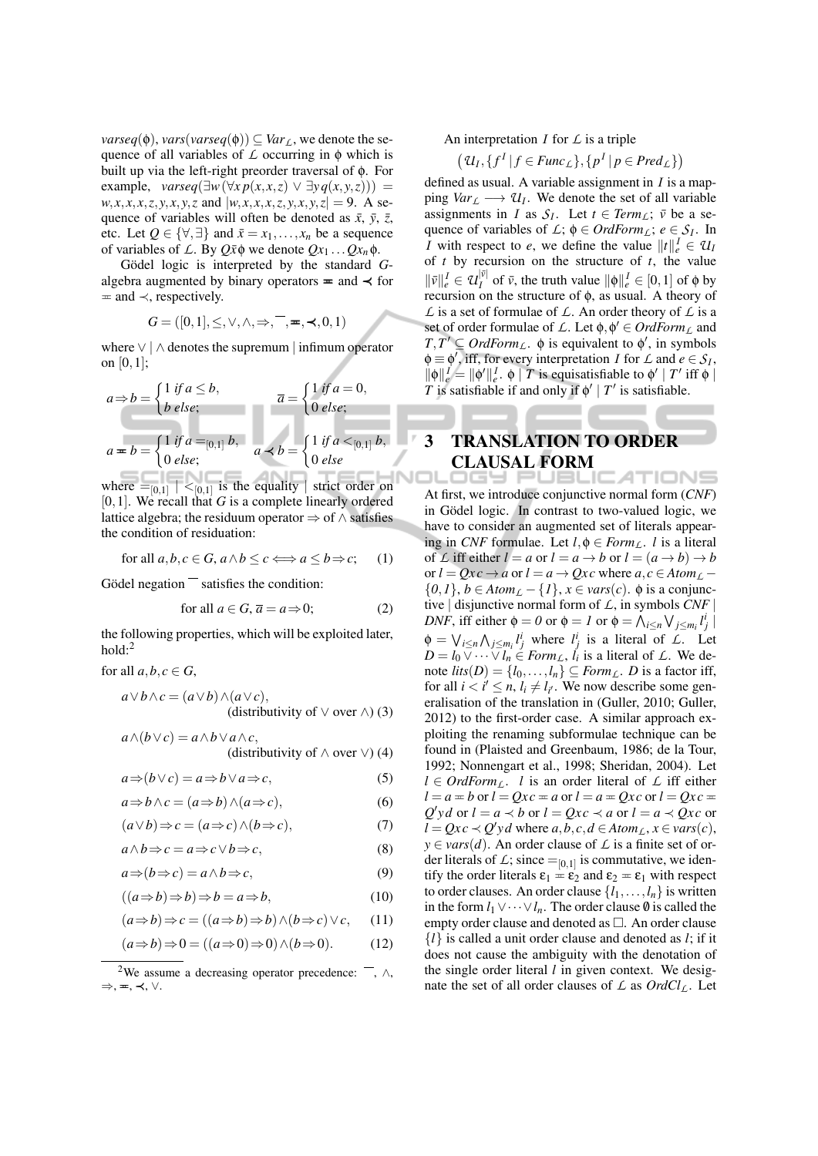*varseq*( $\phi$ ), *vars*(*varseq*( $\phi$ ))  $\subseteq$  *Var*<sub>*L*</sub>, we denote the sequence of all variables of *L* occurring in φ which is built up via the left-right preorder traversal of φ. For example,  $vareq(\exists w (\forall x p(x, x, z) \lor \exists y q(x, y, z)))$  =  $w, x, x, x, z, y, x, y, z$  and  $|w, x, x, x, z, y, x, y, z| = 9$ . A sequence of variables will often be denoted as  $\bar{x}$ ,  $\bar{y}$ ,  $\bar{z}$ , etc. Let  $Q \in \{\forall, \exists\}$  and  $\bar{x} = x_1, \ldots, x_n$  be a sequence of variables of *L*. By  $Q\bar{x}\phi$  we denote  $Qx_1 \dots Qx_n\phi$ .

Gödel logic is interpreted by the standard Galgebra augmented by binary operators  $\equiv$  and  $\prec$  for  $=$  and  $\prec$ , respectively.

$$
G = ([0,1], \leq, \vee, \wedge, \Rightarrow, \overline{\neg}, \equiv, \prec, 0, 1)
$$

where ∨ | ∧ denotes the supremum | infimum operator on [0,1];

$$
a \Rightarrow b = \begin{cases} 1 & \text{if } a \le b, \\ b & \text{else;} \end{cases}
$$

$$
\overline{a} = \begin{cases} 1 & \text{if } a = 0, \\ 0 & \text{else;} \end{cases}
$$

$$
a = b = \begin{cases} 1 & \text{if } a =_{[0,1]} b, \\ 0 & \text{else;} \end{cases}
$$

$$
a \prec b = \begin{cases} 1 & \text{if } a <_{[0,1]} b, \\ 0 & \text{else} \end{cases}
$$

where  $=$   $[0,1]$   $|<$   $[0,1]$  is the equality  $|$  strict order on [0,1]. We recall that *G* is a complete linearly ordered lattice algebra; the residuum operator  $\Rightarrow$  of  $\land$  satisfies the condition of residuation:

for all 
$$
a, b, c \in G
$$
,  $a \wedge b \le c \Longleftrightarrow a \le b \Rightarrow c$ ; (1)

Gödel negation $\overline{\phantom{a}}$  satisfies the condition:

for all 
$$
a \in G
$$
,  $\overline{a} = a \Rightarrow 0$ ; (2)

the following properties, which will be exploited later, hold:<sup>2</sup>

for all  $a, b, c \in G$ ,

$$
a \lor b \land c = (a \lor b) \land (a \lor c),
$$
  
(distributivity of  $\lor$  over  $\land$ ) (3)

$$
a \wedge (b \vee c) = a \wedge b \vee a \wedge c,
$$
  
(distributivity of  $\wedge$  over  $\vee$ ) (4)

$$
a \Rightarrow (b \lor c) = a \Rightarrow b \lor a \Rightarrow c,\tag{5}
$$

$$
a \Rightarrow b \land c = (a \Rightarrow b) \land (a \Rightarrow c), \tag{6}
$$

$$
(a \lor b) \Rightarrow c = (a \Rightarrow c) \land (b \Rightarrow c), \tag{7}
$$

$$
a \wedge b \Rightarrow c = a \Rightarrow c \vee b \Rightarrow c,\tag{8}
$$

$$
a \Rightarrow (b \Rightarrow c) = a \land b \Rightarrow c,\tag{9}
$$

$$
((a \Rightarrow b) \Rightarrow b) \Rightarrow b = a \Rightarrow b,\tag{10}
$$

$$
(a \Rightarrow b) \Rightarrow c = ((a \Rightarrow b) \Rightarrow b) \land (b \Rightarrow c) \lor c,\qquad(11)
$$

$$
(a \Rightarrow b) \Rightarrow 0 = ((a \Rightarrow 0) \Rightarrow 0) \land (b \Rightarrow 0). \tag{12}
$$

<sup>2</sup>We assume a decreasing operator precedence:  $\overline{\phantom{a}}$ ,  $\wedge$ , ⇒, P, ≺, ∨.

An interpretation *I* for *L* is a triple

$$
(U_I, \{f^I | f \in \mathit{Func}_L\}, \{p^I | p \in \mathit{Pred}_L\})
$$

defined as usual. A variable assignment in *I* is a mapping  $Var_L \longrightarrow U_I$ . We denote the set of all variable assignments in *I* as  $S_I$ . Let  $t \in Term_L$ ;  $\bar{v}$  be a sequence of variables of  $\mathcal{L}$ ;  $\phi \in \text{Ord}\text{Form}_\mathcal{L}$ ;  $e \in \mathcal{S}_I$ . In *I* with respect to *e*, we define the value  $||t||_e^I \in U$ of *t* by recursion on the structure of *t*, the value  $\|\bar{v}\|_e^I \in \mathcal{U}_I^{|\bar{v}|}$  $\left|\Psi\right|_I^{|\bar{V}|}$  of  $\bar{v}$ , the truth value  $\|\phi\|_e^I \in [0,1]$  of  $\phi$  by recursion on the structure of φ, as usual. A theory of *L* is a set of formulae of *L*. An order theory of *L* is a set of order formulae of *L*. Let  $\phi$ ,  $\phi' \in \text{OrdForm}_L$  and  $T, T' \subseteq \text{OrdForm}_L$ .  $\phi$  is equivalent to  $\phi'$ , in symbols  $\phi \equiv \phi'$ , iff, for every interpretation *I* for *L* and  $e \in S_I$ ,  $\|\phi\|_e^I = \|\phi'\|_e^I$ .  $\phi \mid T$  is equisatisfiable to  $\phi' \mid T'$  iff  $\phi \mid$ *T* is satisfiable if and only if  $\phi' | T'$  is satisfiable.

### 3 TRANSLATION TO ORDER CLAUSAL FORM ATION

At first, we introduce conjunctive normal form (*CNF*) in Gödel logic. In contrast to two-valued logic, we have to consider an augmented set of literals appearing in *CNF* formulae. Let  $l, \phi \in Form_L$ . *l* is a literal of L iff either  $l = a$  or  $l = a \rightarrow b$  or  $l = (a \rightarrow b) \rightarrow b$ or  $l = Ox + c \rightarrow a$  or  $l = a \rightarrow Ox + c$  where  $a, c \in Atom_{l}$  ${0,1}$ , *b* ∈ *Atom*<sub>*L*</sub> − {*1*}, *x* ∈ *vars*(*c*).  $\phi$  is a conjunctive | disjunctive normal form of *L*, in symbols *CNF* | *DNF*, iff either  $\phi = 0$  or  $\phi = 1$  or  $\phi = \bigwedge_{i \leq n} \bigvee_{j \leq m_i} l_j^i$  $\phi = \bigvee_{i \leq n} \bigwedge_{j \leq m_i} l_j^i$  where  $l_j^i$  is a literal of *L*. Let  $D = l_0 \overline{\vee} \cdots \overline{\vee} l_n \in Form_L$ ,  $l_i$  is a literal of *L*. We denote  $lits(D) = \{l_0, \ldots, l_n\} \subseteq Form_L$ . *D* is a factor iff, for all  $i < i' \le n$ ,  $l_i \ne l_{i'}$ . We now describe some generalisation of the translation in (Guller, 2010; Guller, 2012) to the first-order case. A similar approach exploiting the renaming subformulae technique can be found in (Plaisted and Greenbaum, 1986; de la Tour, 1992; Nonnengart et al., 1998; Sheridan, 2004). Let  $l \in \text{OrdForm}_L$ . *l* is an order literal of  $L$  iff either  $l = a \pm b$  or  $l = Qxc \pm a$  or  $l = a \pm Qxc$  or  $l = Qxc \pm a$  $Q'yd$  or  $l = a \prec b$  or  $l = Qxc \prec a$  or  $l = a \prec Qxc$  or *l* =  $Qxc$  ≺  $Q'yd$  where *a*,*b*,*c*,*d* ∈ *Atom<sub><i>L*</sub>, *x* ∈ *vars*(*c*),  $y \in vars(d)$ . An order clause of  $\angle$  is a finite set of order literals of  $\mathcal{L}$ ; since  $=_{[0,1]}$  is commutative, we identify the order literals  $\varepsilon_1 = \varepsilon_2$  and  $\varepsilon_2 = \varepsilon_1$  with respect to order clauses. An order clause  $\{l_1, \ldots, l_n\}$  is written in the form  $l_1 ∨ · · · ∨ l_n$ . The order clause  $\emptyset$  is called the empty order clause and denoted as  $\Box$ . An order clause {*l*} is called a unit order clause and denoted as *l*; if it does not cause the ambiguity with the denotation of the single order literal *l* in given context. We designate the set of all order clauses of  $\mathcal L$  as  $OrdCl_{\mathcal L}$ . Let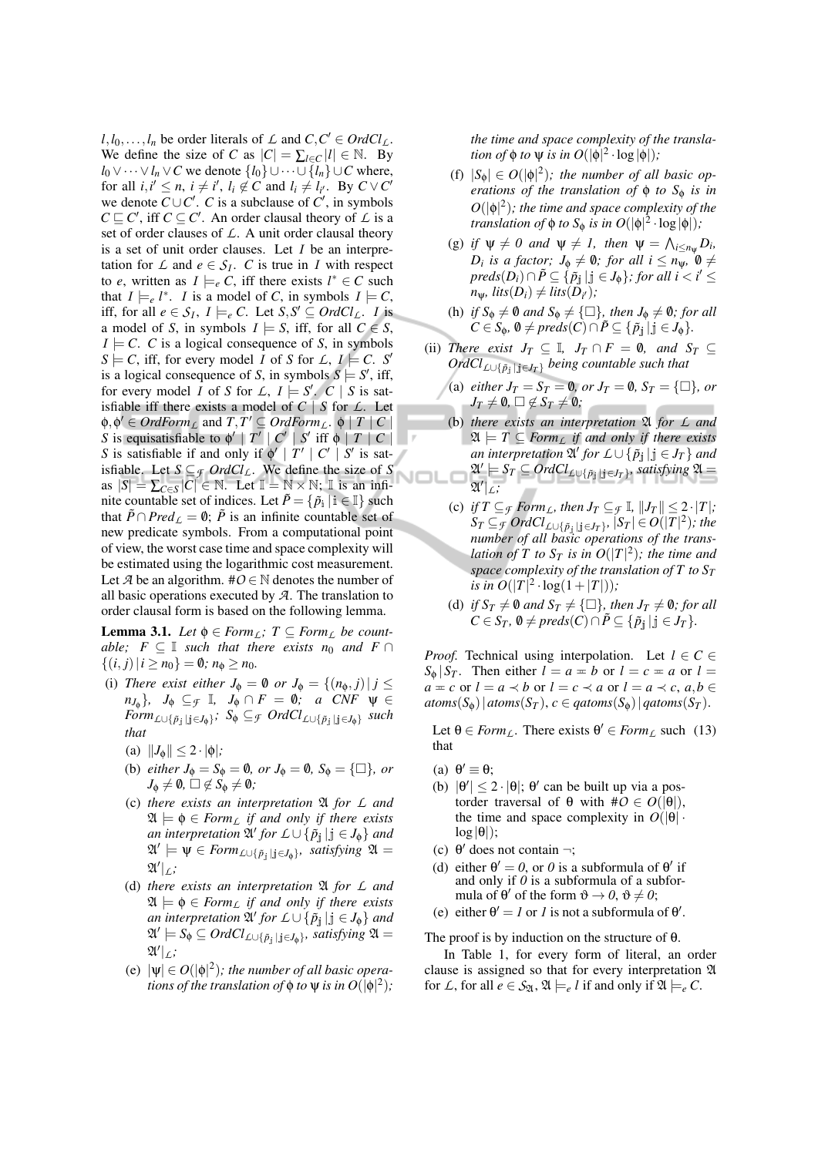$l, l_0, \ldots, l_n$  be order literals of *L* and  $C, C' \in OrdCl_L$ . We define the size of *C* as  $|C| = \sum_{l \in C} |l| \in \mathbb{N}$ . By *l*<sub>0</sub> ∨ ··· ∨ *l<sub>n</sub>* ∨ *C* we denote  $\{l_0\}$  ∪ ··· ∪  $\{l_n\}$  ∪ *C* where, for all  $i, i' \leq n$ ,  $i \neq i'$ ,  $l_i \notin C$  and  $l_i \neq l_{i'}$ . By  $C \vee C'$ we denote  $C \cup C'$ . *C* is a subclause of  $C'$ , in symbols  $C \sqsubseteq C'$ , iff  $C \subseteq C'$ . An order clausal theory of *L* is a set of order clauses of *L*. A unit order clausal theory is a set of unit order clauses. Let *I* be an interpretation for  $\mathcal{L}$  and  $e \in \mathcal{S}_I$ . *C* is true in *I* with respect to *e*, written as  $I \models_e C$ , iff there exists  $l^* \in C$  such that  $I \models_e l^*$ . *I* is a model of *C*, in symbols  $I \models C$ , iff, for all  $e \in S_I$ ,  $I \models_e C$ . Let  $S, S' \subseteq OrdCl_L$ . *I* is a model of *S*, in symbols  $I \models S$ , iff, for all  $C \in S$ ,  $I \models C$ . *C* is a logical consequence of *S*, in symbols  $S \models C$ , iff, for every model *I* of *S* for *L*,  $I \models C$ . *S*<sup>*i*</sup> is a logical consequence of *S*, in symbols  $S \models S'$ , iff, for every model *I* of *S* for *L*,  $I \models S'$ . *C* | *S* is satisfiable iff there exists a model of  $C \mid S$  for  $L$ . Let  $\phi, \phi' \in \text{Ord}\text{Form}_L$  and  $T, T' \subseteq \text{Ord}\text{Form}_L$ .  $\phi \mid T \mid C \mid$ *S* is equisatisfiable to  $\phi' \mid T' \mid C' \mid S'$  iff  $\phi \mid T \mid C \mid$ *S* is satisfiable if and only if  $\phi' | T' | C' | S'$  is satisfiable. Let *S* ⊆*<sup>F</sup> OrdClL*. We define the size of *S* as  $|S| = \sum_{C \in S} |C| \in \mathbb{N}$ . Let  $\mathbb{I} = \mathbb{N} \times \mathbb{N}$ ;  $\mathbb{I}$  is an infinite countable set of indices. Let  $\tilde{P} = \{\tilde{p}_i | i \in \mathbb{I}\}$  such that  $\tilde{P} \cap Pred_{\mathcal{L}} = \emptyset$ ;  $\tilde{P}$  is an infinite countable set of new predicate symbols. From a computational point of view, the worst case time and space complexity will be estimated using the logarithmic cost measurement. Let *A* be an algorithm.  $\#O \in \mathbb{N}$  denotes the number of all basic operations executed by *A*. The translation to order clausal form is based on the following lemma.

**Lemma 3.1.** *Let*  $\phi \in Form_L$ *;*  $T \subseteq Form_L$  *be countable;*  $F \subseteq \mathbb{I}$  *such that there exists n<sub>0</sub> and*  $F \cap$  $\{(i, j) | i \geq n_0\} = \emptyset; n_{\emptyset} \geq n_0.$ 

- (i) *There exist either*  $J_{\phi} = \emptyset$  *or*  $J_{\phi} = \{(n_{\phi}, j) | j \leq$  $n_{J_{\phi}}$ }*,*  $J_{\phi} \subseteq_{\mathcal{F}} \mathbb{I}$ *,*  $J_{\phi} \cap F = \emptyset$ *;* a CNF  $\psi \in$  $Form_{\mathcal{L}\cup \{\tilde{p}_j \mid j \in J_\phi\}}$ ;  $S_\phi \subseteq_{\mathcal{F}} OrdCl_{\mathcal{L}\cup \{\tilde{p}_j \mid j \in J_\phi\}}$  such *that*
	- (a)  $||J_{\phi}|| \leq 2 \cdot |\phi|$ ;
	- (b) *either*  $J_{\phi} = S_{\phi} = \emptyset$ , or  $J_{\phi} = \emptyset$ ,  $S_{\phi} = {\Box}$ , or  $J_{\Phi} \neq \emptyset$ ,  $\square \notin S_{\Phi} \neq \emptyset$ *;*
	- (c) *there exists an interpretation* A *for L and*  $\mathfrak{A} \models \phi \in \text{Form}_{\mathcal{L}}$  *if and only if there exists an interpretation*  $\mathfrak{A}'$  *for*  $L \cup \{\tilde{p}_j \mid j \in J_{\phi}\}\$  *and*  $\mathfrak{A}' \models \Psi \in \textit{Form}_{\textit{LU}\{\tilde{p}_j \, | \, j \in J_{\phi}\}}$ *, satisfying*  $\mathfrak{A} =$ A 0 |*L;*
	- (d) *there exists an interpretation* A *for L and*  $\mathfrak{A} \models \phi \in \text{Form}_{\mathcal{L}}$  *if and only if there exists*  $a$ *n* interpretation  $\mathfrak{A}'$  for  $L \cup \{\tilde{p}_j \mid j \in J_{\phi}\}$  and  $\mathfrak{A}' \models S_{\phi} \subseteq \mathit{Ordcl}_{\mathcal{L} \cup \{\tilde{p}_j \mid j \in J_{\phi}\}}$ *, satisfying*  $\mathfrak{A} =$ A 0 |*L;*
	- (e)  $|\psi| \in O(|\phi|^2)$ ; the number of all basic opera*tions of the translation of*  $\phi$  *to*  $\psi$  *is in O*( $|\phi|^2$ );

*the time and space complexity of the translation of*  $\phi$  *to*  $\psi$  *is in*  $O(|\phi|^2 \cdot \log |\phi|)$ *;* 

- (f)  $|S_{\phi}| \in O(|\phi|^2)$ ; the number of all basic op*erations of the translation of* φ *to S*<sup>φ</sup> *is in*  $O(|\phi|^2)$ ; the time and space complexity of the *translation of*  $\phi$  *to*  $S_{\phi}$  *is in*  $O(|\phi|^2 \cdot \log |\phi|)$ *;*
- (g) *if*  $\psi \neq 0$  and  $\psi \neq 1$ , then  $\psi = \bigwedge_{i \leq n_{\psi}} D_i$ ,  $D_i$  *is a factor;*  $J_{\phi} \neq \emptyset$ *; for all i*  $\leq n_{\psi}$ ,  $\emptyset \neq$  $\textit{preds}(D_i) \cap \tilde{P} \subseteq \{\tilde{p}_j \, | \, j \in J_\phi\}$ ; for all  $i < i' \leq$  $n_{\psi}$ *, lits* $(D_i) \neq$  *lits* $(D_{i'})$ *;*
- (h) *if*  $S_{\phi} \neq \emptyset$  *and*  $S_{\phi} \neq {\Box},$  *then*  $J_{\phi} \neq \emptyset$ *; for all*  $C \in S_{\phi}, \ \emptyset \neq \text{preds}(C) \cap \tilde{P} \subseteq {\{\tilde{p}_j \mid j \in J_{\phi}\}}.$
- (ii) *There exist*  $J_T \subseteq \mathbb{I}$ ,  $J_T \cap F = \emptyset$ , and  $S_T \subseteq$  $OrdCl_{\mathcal{L}\cup \{\tilde{p}_j\mid j\in J_T\}}$  *being countable such that* 
	- (a) *either*  $J_T = S_T = \emptyset$ *, or*  $J_T = \emptyset$ ,  $S_T = {\Box}$ *, or*  $J_T \neq \emptyset$ ,  $\square \notin S_T \neq \emptyset$ *;*
	- (b) *there exists an interpretation* A *for L and*  $\mathfrak{A} \models T \subseteq \text{Form}_L$  *if and only if there exists an interpretation*  $\mathfrak{A}'$  *for*  $\mathcal{L} \cup {\{\tilde{p}_j \mid j \in J_T\}}$  *and*  $\mathfrak{A}' \models S_T \subseteq OrdCl_{\mathcal{L} \cup \{\tilde{p}_\mathbf{j} \mid \mathbf{j} \in J_T\}}$ *, satisfying*  $\mathfrak{A} =$ A 0 |*L;*
	- (c) *if*  $T \subseteq \mathcal{F}$  *Form*<sub>L</sub>*,* then  $J_T \subseteq \mathcal{F}$   $\mathbb{I}$ *,*  $||J_T|| \leq 2 \cdot |T|$ *;*  $S_T \subseteq_{\mathcal{F}} \mathit{Ord} Cl_{\mathcal{L} \cup \{\tilde{p}_j \mid j \in J_T\}}$ ,  $|S_T| \in O(|T|^2)$ ; the *number of all basic operations of the translation of T to*  $S_T$  *is in*  $O(|T|^2)$ *; the time and space complexity of the translation of T to S<sup>T</sup> is in*  $O(|T|^2 \cdot \log(1+|T|));$
	- (d) *if*  $S_T \neq \emptyset$  *and*  $S_T \neq {\Box}$ *, then*  $J_T \neq \emptyset$ *; for all C* ∈ *S*<sup>*T*</sup>,  $\emptyset$  ≠ *preds*(*C*)∩ $\tilde{P}$  ⊆ { $\tilde{p}_i$  |  $j$  ∈ *J*<sup>T</sup>}.

*Proof.* Technical using interpolation. Let  $l \in C$  $S_{\phi} | S_T$ . Then either  $l = a = b$  or  $l = c = a$  or  $l =$  $a = c$  or  $l = a \prec b$  or  $l = c \prec a$  or  $l = a \prec c, a, b \in$  $atoms(S_0) | atoms(S_T), c \in qatoms(S_0) | qatoms(S_T).$ 

Let  $\theta \in \text{Form}_L$ . There exists  $\theta' \in \text{Form}_L$  such (13) that

- (a)  $\theta' \equiv \theta;$
- (b)  $|\theta'| \le 2 \cdot |\theta|$ ;  $\theta'$  can be built up via a postorder traversal of  $θ$  with  $#O ∈ O(|θ|)$ , the time and space complexity in  $O(|\theta| \cdot )$  $log |\theta|$ );
- (c)  $\theta'$  does not contain  $\neg$ ;
- (d) either  $\theta' = 0$ , or 0 is a subformula of  $\theta'$  if and only if *0* is a subformula of a subformula of  $\theta'$  of the form  $\vartheta \to 0$ ,  $\vartheta \neq 0$ ;
- (e) either  $\theta' = 1$  or *1* is not a subformula of  $\theta'$ .

The proof is by induction on the structure of  $\theta$ . In Table 1, for every form of literal, an order

clause is assigned so that for every interpretation A for *L*, for all  $e \in S_{\mathfrak{A}}, \mathfrak{A} \models_{e} l$  if and only if  $\mathfrak{A} \models_{e} C$ .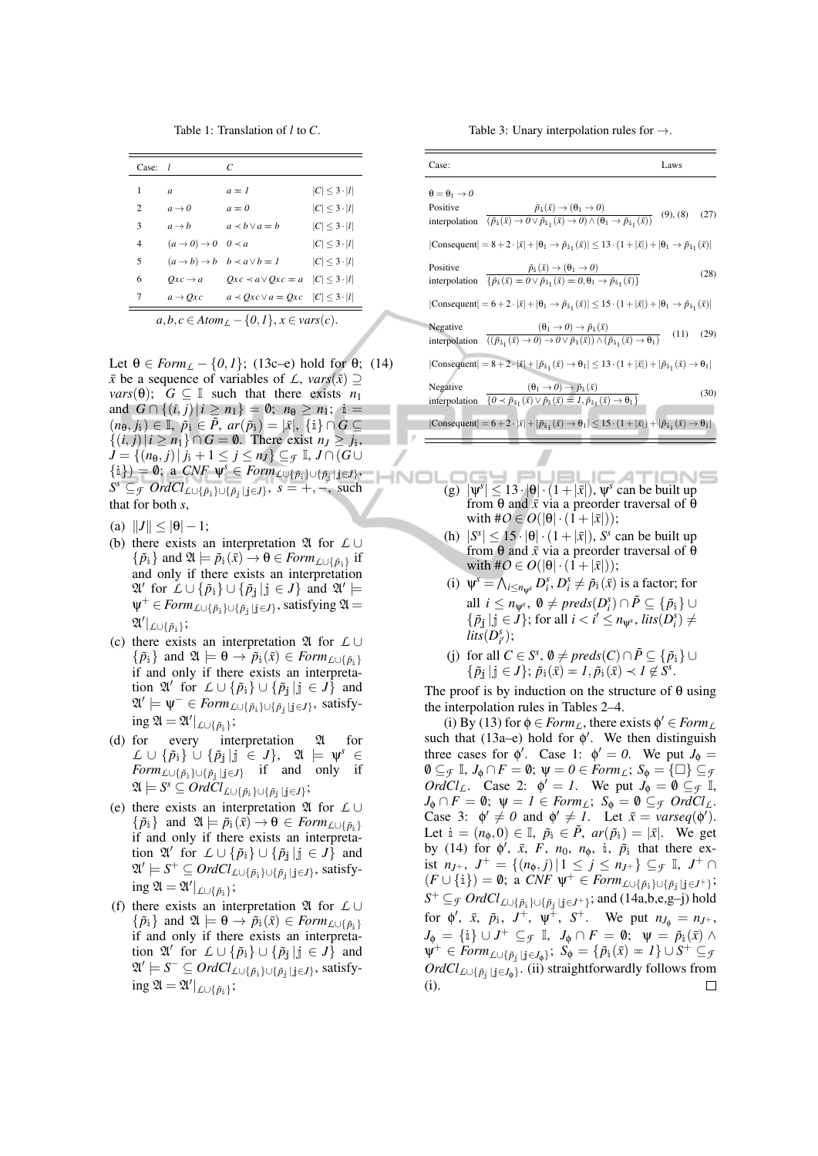Table 1: Translation of *l* to *C*.

| $Case: l$           | C                                                             |                                                                                    |
|---------------------|---------------------------------------------------------------|------------------------------------------------------------------------------------|
| $\mathfrak{a}$      | $a = 1$                                                       | $ C  \leq 3 \cdot  l $                                                             |
| $a \rightarrow 0$   | $a = 0$                                                       | $ C  \leq 3 \cdot  l $                                                             |
| $a \rightarrow b$   | $a \prec b \lor a = b$                                        | $ C  \leq 3 \cdot  l $                                                             |
|                     |                                                               | $ C  \leq 3 \cdot  l $                                                             |
|                     | $b \prec a \lor b = 1$                                        | $ C  \leq 3 \cdot  l $                                                             |
| $Oxc \rightarrow a$ | $Qxc \prec a \vee Qxc = a \quad  C  \leq 3 \cdot  l $         |                                                                                    |
| $a \rightarrow Ox$  | $a \prec Qx$ $c \vee a = Qx$ $c \mid C \mid \leq 3 \cdot  l $ |                                                                                    |
|                     |                                                               | $(a \rightarrow 0) \rightarrow 0$ $0 \prec a$<br>$(a \rightarrow b) \rightarrow b$ |

Let  $\theta \in \text{Form}_{\mathcal{L}} - \{0, 1\}$ ; (13c–e) hold for  $\theta$ ; (14) *x* be a sequence of variables of *L*, *vars*( $\bar{x}$ ) ⊇ *vars*( $\theta$ ); *G*  $\subseteq$  I such that there exists *n*<sub>1</sub> and  $G \cap \{(i, j) | i \geq n_1\} = \emptyset; n_0 \geq n_1; i =$  $(n_{\theta}, j_{i}) \in \mathbb{I}, \ \tilde{p}_{i} \in \tilde{P}, \ ar(\tilde{p}_{i}) = |\bar{x}|, \ \{i\} \cap G \subseteq$  ${(i, j) | i ≥ n<sub>1</sub>} ∩ G = ∅$ . There exist  $n<sub>J</sub> ≥ j<sub>i</sub>$ , *J* = { $(n_{\theta}, j) | j_i + 1 \le j \le n_j$ } ⊆  $\in$  I, *J* ∩ (*G* ∪  $\{\hat{\mathbf{i}}\}) = \mathbf{0}; \ \ \hat{\mathbf{a}} \ \text{CNF} \ \ \hat{\mathbf{\psi}}^s \in \text{Form}_{\text{L}\cup \{\tilde{p}_1\} \cup \{\tilde{p}_j\}}$  $S^s \subseteq$  *f*  $OrdCl_{\mathcal{L}\cup{\{\tilde{p}_i\}\cup{\{\tilde{p}_j\mid j\in J\}}}$ ,  $s = +, -$ , such that for both *s*,

- (a)  $||J|| \le |\theta| 1;$
- (b) there exists an interpretation A for *L* ∪  $\{\tilde{p}_i\}$  and  $\mathfrak{A} \models \tilde{p}_i(\bar{x}) \rightarrow \theta \in \text{Form}_{\text{L}\cup \{\tilde{p}_i\}}$  if and only if there exists an interpretation  $\mathfrak{A}'$  for  $\tilde{L} \cup \{\tilde{p}_i\} \cup \{\tilde{p}_j | j \in J\}$  and  $\mathfrak{A}' \models$  $\Psi^+ \in \textit{Form}_{\textit{L}\cup \{\tilde{p}_i\} \cup \{\tilde{p}_j \mid j \in J\}}$ , satisfying  $\mathfrak{A} =$  $\mathfrak{A}'|_{L\cup \{\tilde{p}_\mathtt{i}\}}$ ;
- (c) there exists an interpretation A for *L* ∪  $\{\tilde{p}_i\}$  and  $\mathfrak{A} \models \theta \rightarrow \tilde{p}_i(\bar{x}) \in \text{Form}_{\text{L}\cup\{\tilde{p}_i\}}$ if and only if there exists an interpretation  $\mathfrak{A}'$  for  $\mathcal{L} \cup \{\tilde{p}_i\} \cup \{\tilde{p}_j | j \in J\}$  and  $\mathfrak{A}' \models \Psi^- \in \text{Form}_{\text{L}\cup \{\tilde{p}_1\} \cup \{\tilde{p}_j \mid j \in J\}}$ , satisfy- $\log \mathfrak{A} = \mathfrak{A}'|_{\mathcal{L} \cup \{\tilde{p}_i\}};$
- (d) for every interpretation  $\mathfrak A$  for  $\mathcal{L} \, \cup \, \left\{ \tilde{p}_{\dot{1}} \right\} \, \dot{\cup} \, \left\{ \tilde{p}_{\dot{\bar{\jmath}}} \, | \, \dot{\bar{\jmath}} \, \in \, J \right\}, \,\,\,\,\, \mathfrak{A} \,\,\models\,\, \mathsf{\psi}^s \,\in\, I$ *Form*<sub>L∪{</sub> $\tilde{p}_i$ }∪{ $\tilde{p}_j$ |j∈*J*} if and only if  $\mathfrak{A} \models S^{\mathfrak{s}} \subseteq \overline{Ord}\overline{Cl}_{\mathcal{L} \cup \{\tilde{p}_{\dot{1}}\} \cup \{\tilde{p}_{\dot{1}} \mid \dot{\mathfrak{j}} \in J\}};$
- (e) there exists an interpretation A for *L* ∪  $\{\tilde{p}_i\}$  and  $\mathfrak{A} \models \tilde{p}_i(\bar{x}) \rightarrow \theta \in \text{Form}_{\text{L} \cup \{\tilde{p}_i\}}$ if and only if there exists an interpretation  $\mathfrak{A}'$  for  $\mathcal{L} \cup \{\tilde{p}_i\} \cup \{\tilde{p}_j | j \in J\}$  and A 0 |= *S* <sup>+</sup> <sup>⊆</sup> *OrdClL*∪{*p*˜i}∪{*p*˜<sup>j</sup> <sup>|</sup> <sup>j</sup>∈*J*} , satisfy- $\log \mathfrak{A} = \mathfrak{A}'|_{\mathcal{L} \cup \{\tilde{p}_i\}};$
- (f) there exists an interpretation A for *L* ∪  $\{\tilde{p}_i\}$  and  $\mathfrak{A} \models \theta \rightarrow \tilde{p}_i(\bar{x}) \in \text{Form}_{\text{L}\cup\{\tilde{p}_i\}}$ if and only if there exists an interpretation  $\mathfrak{A}'$  for  $\mathcal{L} \cup \{\tilde{p}_i\} \cup \{\tilde{p}_j | j \in J\}$  and A 0 |= *S* <sup>−</sup> <sup>⊆</sup> *OrdClL*∪{*p*˜i}∪{*p*˜<sup>j</sup> <sup>|</sup> <sup>j</sup>∈*J*} , satisfy- $\log \mathfrak{A} = \mathfrak{A}'|_{\mathcal{L} \cup \{\tilde{p}_i\}};$

Table 3: Unary interpolation rules for  $\rightarrow$ .

| Case:                                                                                                                                                                                                                                                                  | Laws             |
|------------------------------------------------------------------------------------------------------------------------------------------------------------------------------------------------------------------------------------------------------------------------|------------------|
| $\theta = \theta_1 \rightarrow 0$                                                                                                                                                                                                                                      |                  |
| Positive<br>$\tilde{p}_i(\bar{x}) \rightarrow (\theta_1 \rightarrow 0)$<br>interpolation $\overline{(\tilde{p}_i(\bar{x})\rightarrow 0 \vee \tilde{p}_{i_1}(\bar{x})\rightarrow 0) \wedge (\theta_1 \rightarrow \tilde{p}_{i_1}(\bar{x}))}$                            | (27)<br>(9), (8) |
| $ Consequent  = 8 + 2 \cdot  \bar{x}  +  \theta_1 \rightarrow \tilde{p}_{i_1}(\bar{x})  \le 13 \cdot (1 +  \bar{x} ) +  \theta_1 \rightarrow \tilde{p}_{i_1}(\bar{x}) $                                                                                                |                  |
| Positive<br>$\tilde{p}_i(\bar{x}) \rightarrow (\theta_1 \rightarrow 0)$<br>interpolation $\{\tilde{p}_i(\bar{x}) = 0 \lor \tilde{p}_{i_1}(\bar{x}) = 0, \theta_1 \to \tilde{p}_{i_1}(\bar{x})\}\$                                                                      | (28)             |
| Consequent $= 6+2 \cdot  \bar{x}  +  \theta_1 \rightarrow \tilde{p}_{i_1}(\bar{x})  \leq 15 \cdot (1+ \bar{x} ) +  \theta_1 \rightarrow \tilde{p}_{i_1}(\bar{x}) $                                                                                                     |                  |
| Negative<br>$(\theta_1 \rightarrow 0) \rightarrow \tilde{p}_1(\bar{x})$<br>interpolation $\sqrt{\left(\left(\tilde{p}_{i_1}(\bar{x})\rightarrow 0\right)\rightarrow 0 \vee \tilde{p}_{i}(\bar{x})\right) \wedge \left(\tilde{p}_{i_1}(\bar{x})\rightarrow 0_1\right)}$ | (11)<br>(29)     |
| $\text{Consequent}  = 8 + 2 \cdot  \bar{x}  +  \tilde{p}_{i_1}(\bar{x}) \rightarrow \theta_1  \leq 13 \cdot (1 +  \bar{x} ) +  \tilde{p}_{i_1}(\bar{x}) \rightarrow \theta_1 $                                                                                         |                  |
| Negative<br>$(\theta_1 \rightarrow 0) \rightarrow \tilde{p}_1(\bar{x})$<br>interpolation $\overline{\{0 \prec \tilde{p}_{i}   (\bar{x}) \vee \tilde{p}_{i} (\bar{x}) = 1, \tilde{p}_{i}   (\bar{x}) \rightarrow 0_{1}\}}$                                              | (30)             |
| Consequent $= 6+2 \cdot  \bar{x}  +  \tilde{p}_{i_1}(\bar{x}) \rightarrow \theta_1  \leq 15 \cdot (1+ \bar{x} ) +  \tilde{p}_{i_1}(\bar{x}) \rightarrow \theta_1 $                                                                                                     |                  |

- **INDI**  $I = I$ ATIONS (g)  $|\psi^s| \leq 13 \cdot |\theta| \cdot (1 + |\bar{x}|), \psi^s$  can be built up from θ and  $\bar{x}$  via a preorder traversal of θ with  $\#O \in O(|\theta| \cdot (1+|\bar{x}|));$ 
	- (h)  $|S^s| \leq 15 \cdot |\theta| \cdot (1 + |\bar{x}|)$ , *S*<sup>*s*</sup> can be built up from  $\theta$  and  $\bar{x}$  via a preorder traversal of  $\bar{\theta}$ with  $\#\mathcal{O} \in O(|\theta| \cdot (1+|\bar{x}|));$
	- (i)  $\psi^s = \bigwedge_{i \leq n_{\psi^s}} D_i^s, D_i^s \neq \tilde{p}_i(\bar{x})$  is a factor; for all *i* ≤ *n*<sub>Ψ</sub><sup>*s*</sup>,  $\emptyset \neq \text{preds}(D_i^s) \cap \tilde{P} \subseteq {\{\tilde{p}_i\}} \cup$  $\{\tilde{p}_{\mathbf{j}} \mid \mathbf{j} \in J\}$ ; for all  $i < i' \leq n_{\psi^s}$ ,  $\text{lits}(D_i^s) \neq$  $lits(D_{i'}^s);$
	- (j) for all  $C \in S^s$ ,  $\emptyset \neq \text{preds}(C) \cap \tilde{P} \subseteq {\{\tilde{p}_i\}} \cup$  $\{\tilde{p}_{\mathbf{j}} | \mathbf{j} \in J\}; \tilde{p}_{\mathbf{i}}(\bar{x}) = I, \tilde{p}_{\mathbf{i}}(\bar{x}) \prec I \not\in \tilde{S}^s.$

The proof is by induction on the structure of  $\theta$  using the interpolation rules in Tables 2–4.

(i) By (13) for  $\phi \in \text{Form}_L$ , there exists  $\phi' \in \text{Form}_L$ such that (13a-e) hold for  $\phi'$ . We then distinguish three cases for  $\phi'$ . Case 1:  $\phi' = 0$ . We put  $J_{\phi} =$  $\emptyset \subseteq_{\mathcal{F}} \mathbb{I}, J_{\emptyset} \cap F = \emptyset; \ \psi = 0 \in \text{Form}_{\mathcal{L}}; S_{\emptyset} = {\square} \subseteq_{\mathcal{F}}$ *OrdCl<sub>L</sub>*. Case 2:  $\phi' = 1$ . We put  $J_{\phi} = \mathbf{0} \subseteq \mathbf{F}$  I,  $J_{\phi} \cap F = \emptyset$ ;  $\psi = I \in \text{Form}_{L}$ ;  $S_{\phi} = \emptyset \subseteq_{\mathcal{F}} \text{Ord}Cl_{L}$ . Case 3:  $\phi' \neq 0$  and  $\phi' \neq 1$ . Let  $\bar{x} = \text{varseq}(\phi')$ . Let  $i = (n_{\phi}, 0) \in \mathbb{I}$ ,  $\tilde{p}_i \in \tilde{P}$ ,  $ar(\tilde{p}_i) = |\bar{x}|$ . We get by (14) for  $\phi'$ ,  $\bar{x}$ ,  $\bar{F}$ ,  $n_0$ ,  $n_{\phi}$ , i,  $\tilde{p}_i$  that there exist *n*<sub>*J*+</sub>, *J*<sup>+</sup> = {(*n*<sub>*φ*</sub>,*j*)|1 ≤ *j* ≤ *n*<sub>*J*+</sub>} ⊆*f* I, *J*<sup>+</sup> ∩  $(F \cup \{\mathbf{i}\}) = \mathbf{0}; \ \mathbf{a} \ CNF \ \mathbf{\Psi}^+ \in Form_{\mathcal{L} \cup \{\tilde{p}_1\} \cup \{\tilde{p}_j \mid j \in J^+\}};$ *S*<sup>+</sup> ⊆*F OrdCl*<sub>*L*∪{ $\tilde{p}_i$ }∪{ $\tilde{p}_j$ |j∈*J*+}</sub>; and (14a,b,e,g–j) hold for  $\phi'$ ,  $\bar{x}$ ,  $\tilde{p}_i$ ,  $J^+$ ,  $\psi^{\pm}$ ,  $S^+$ . We put  $n_{J_{\phi}} = n_{J^+}$ ,  $J_{\phi} = \{\mathbb{i}\} \cup J^{+} \subseteq_{\mathcal{F}} \mathbb{I}, \ J_{\phi} \cap F = \emptyset; \ \ \psi = \tilde{p}_{\mathbb{i}}(\bar{x}) \wedge$  $\psi^+ \in \textit{Form}_{\textit{L}\cup \{\tilde{p}_\mathbf{j} \mid \mathbf{j} \in J_\phi\}}; \; S_\phi = \{\tilde{p}_\mathbf{i}(\bar{x}) = I\} \cup S^+ \subseteq \textit{G}$ *OrdClL*∪{*p*˜<sup>j</sup> <sup>|</sup> <sup>j</sup>∈*J*φ} . (ii) straightforwardly follows from (i). $\Box$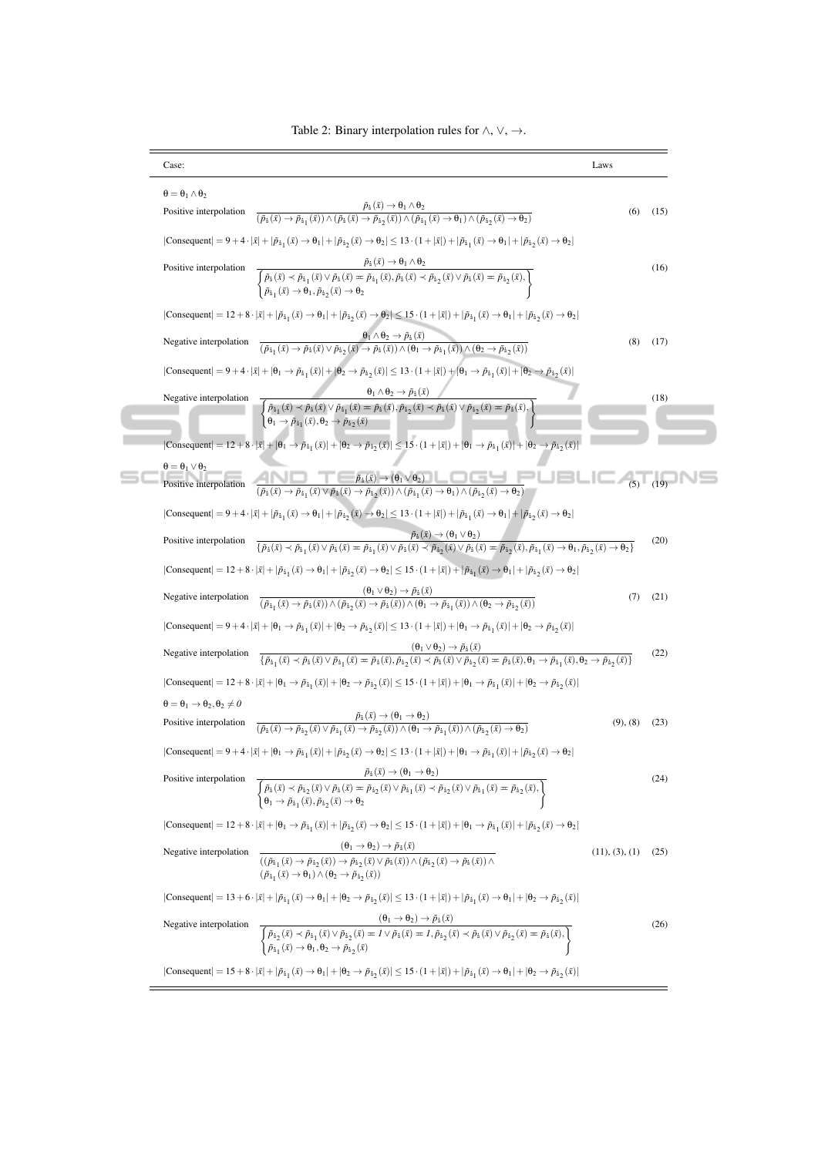| Case:                                                                                                                                                                                                                                                                                                                                                                                                                                                                                                                                       | Laws           |      |
|---------------------------------------------------------------------------------------------------------------------------------------------------------------------------------------------------------------------------------------------------------------------------------------------------------------------------------------------------------------------------------------------------------------------------------------------------------------------------------------------------------------------------------------------|----------------|------|
| $\theta = \theta_1 \wedge \theta_2$                                                                                                                                                                                                                                                                                                                                                                                                                                                                                                         |                |      |
| $\frac{\vec{p}_1(\bar{x}) \rightarrow \theta_1 \wedge \theta_2}{(\vec{p}_1(\bar{x}) \rightarrow \vec{p}_{11}(\bar{x})) \wedge (\vec{p}_1(\bar{x}) \rightarrow \vec{p}_{12}(\bar{x})) \wedge (\vec{p}_{11}(\bar{x}) \rightarrow \theta_1) \wedge (\vec{p}_{12}(\bar{x}) \rightarrow \theta_2)}$<br>Positive interpolation                                                                                                                                                                                                                    | (6)            | (15) |
| $ Consequent  = 9 + 4 \cdot  \bar{x}  +  \tilde{p}_{i_1}(\bar{x}) \rightarrow \theta_1  +  \tilde{p}_{i_2}(\bar{x}) \rightarrow \theta_2  \le 13 \cdot (1 +  \bar{x} ) +  \tilde{p}_{i_1}(\bar{x}) \rightarrow \theta_1  +  \tilde{p}_{i_2}(\bar{x}) \rightarrow \theta_2 $                                                                                                                                                                                                                                                                 |                |      |
| Positive interpolation<br>$\overline{\left\{\begin{aligned}\tilde{p}_{\mathbf{i}}(\bar{x}) &\prec \tilde{p}_{\mathbf{i}_1}(\bar{x}) \vee \tilde{p}_{\mathbf{i}}(\bar{x}) = \tilde{p}_{\mathbf{i}_1}(\bar{x}), \tilde{p}_{\mathbf{i}}(\bar{x}) &\prec \tilde{p}_{\mathbf{i}_2}(\bar{x}) \vee \tilde{p}_{\mathbf{i}}(\bar{x}) = \tilde{p}_{\mathbf{i}_2}(\bar{x}), \\ \tilde{p}_{\mathbf{i}_1}(\bar{x}) &\rightarrow \theta_1, \tilde{p}_{\mathbf{i}_2}(\bar{x}) &\rightarrow \theta_2\end{aligned}\right\}}$                                 |                | (16) |
| $ Consequent  = 12 + 8 \cdot  \bar{x}  +  \tilde{p}_{i_1}(\bar{x}) \rightarrow \theta_1  +  \tilde{p}_{i_2}(\bar{x}) \rightarrow \theta_2  \le 15 \cdot (1 +  \bar{x} ) +  \tilde{p}_{i_1}(\bar{x}) \rightarrow \theta_1  +  \tilde{p}_{i_2}(\bar{x}) \rightarrow \theta_2 $                                                                                                                                                                                                                                                                |                |      |
| $\frac{\theta_1 \wedge \theta_2 \rightarrow \tilde{p}_i(\bar{x})}{(\tilde{p}_{i_1}(\bar{x}) \rightarrow \tilde{p}_i(\bar{x}) \vee \tilde{p}_{i_2}(\bar{x}) \rightarrow \tilde{p}_i(\bar{x})) \wedge (\theta_1 \rightarrow \tilde{p}_{i_1}(\bar{x})) \wedge (\theta_2 \rightarrow \tilde{p}_{i_2}(\bar{x}))}$<br>Negative interpolation                                                                                                                                                                                                      | (8)            | (17) |
| $ \text{Consequent} =9+4\cdot \bar{x} + \theta_1\rightarrow \tilde{p}_{\text{i}_1}(\bar{x}) + \theta_2\rightarrow \tilde{p}_{\text{i}_2}(\bar{x}) \leq 13\cdot(1+ \bar{x} )+ \theta_1\rightarrow \tilde{p}_{\text{i}_1}(\bar{x}) + \theta_2\rightarrow \tilde{p}_{\text{i}_2}(\bar{x}) $                                                                                                                                                                                                                                                    |                |      |
| $\frac{\theta_1\wedge\theta_2\rightarrow \tilde{p}_\mathtt{i}(\bar{x})}{\left\{\begin{aligned} &\tilde{p}_{\mathtt{i}_1}(\bar{x})\prec\tilde{p}_\mathtt{i}(\bar{x})\vee\tilde{p}_{\mathtt{i}_1}(\bar{x})=\tilde{p}_\mathtt{i}(\bar{x}), \tilde{p}_{\mathtt{i}_2}(\bar{x})\prec\tilde{p}_\mathtt{i}(\bar{x})\vee\tilde{p}_{\mathtt{i}_2}(\bar{x})=\tilde{p}_\mathtt{i}(\bar{x}),\\ &\theta_1\rightarrow\tilde{p}_{\mathtt{i}_1}(\bar{x}),\theta_2\rightarrow\tilde{p}_{\mathtt{i}_$<br>Negative interpolation                                |                | (18) |
| Consequent = $12 + 8 \cdot  \bar{x}  +  \theta_1 \to \tilde{p}_{i_1}(\bar{x})  +  \theta_2 \to \tilde{p}_{i_2}(\bar{x})  \le 15 \cdot (1 +  \bar{x} ) +  \theta_1 \to \tilde{p}_{i_1}(\bar{x})  +  \theta_2 \to \tilde{p}_{i_2}(\bar{x}) $<br>$\theta = \theta_1 \vee \theta_2$                                                                                                                                                                                                                                                             |                |      |
| Positive interpolation $\frac{\tilde{p}_i(\bar{x}) \to (\theta_1 \vee \theta_2)}{(\tilde{p}_i(\bar{x}) \to \tilde{p}_{i_1}(\bar{x}) \vee \tilde{p}_i(\bar{x}) \to \tilde{p}_{i_2}(\bar{x})) \wedge (\tilde{p}_{i_1}(\bar{x}) \to \theta_1) \wedge (\tilde{p}_{i_2}(\bar{x}) \to \theta_2)}$                                                                                                                                                                                                                                                 |                |      |
| $ \text{Consequent} =9+4\cdot \bar{x} + \tilde{p}_{\text{i}_1}(\bar{x})\rightarrow\theta_1 + \tilde{p}_{\text{i}_2}(\bar{x})\rightarrow\theta_2 \leq13\cdot(1+ \bar{x} )+ \tilde{p}_{\text{i}_1}(\bar{x})\rightarrow\theta_1 + \tilde{p}_{\text{i}_2}(\bar{x})\rightarrow\theta_2 $                                                                                                                                                                                                                                                         |                |      |
| $\frac{\tilde{p}_i(\bar{x}) \rightarrow (\theta_1 \vee \theta_2)}{\{\tilde{p}_i(\bar{x}) \prec \tilde{p}_{i_1}(\bar{x}) \vee \tilde{p}_i(\bar{x}) = \tilde{p}_{i_1}(\bar{x}) \vee \tilde{p}_i(\bar{x}) \prec \tilde{p}_{i_2}(\bar{x}) \vee \tilde{p}_i(\bar{x}) = \tilde{p}_{i_2}(\bar{x}), \tilde{p}_{i_1}(\bar{x}) \rightarrow \theta_1, \tilde{p}_{i_2}(\bar{x}) \rightarrow \theta_2\}}$<br>Positive interpolation                                                                                                                      |                | (20) |
| $ \text{Consequent}  = 12 + 8 \cdot  \bar{x}  +  \tilde{p}_{\textbf{i}_1}(\bar{x}) \rightarrow \theta_1  +  \tilde{p}_{\textbf{i}_2}(\bar{x}) \rightarrow \theta_2  \leq 15 \cdot (1 +  \bar{x} ) +  \tilde{p}_{\textbf{i}_1}(\bar{x}) \rightarrow \theta_1  +  \tilde{p}_{\textbf{i}_2}(\bar{x}) \rightarrow \theta_2 $                                                                                                                                                                                                                    |                |      |
| $\frac{(\theta_1 \vee \theta_2) \rightarrow \tilde{p}_1(\bar{x})}{(\tilde{p}_{i_1}(\bar{x}) \rightarrow \tilde{p}_i(\bar{x})) \wedge (\tilde{p}_{i_2}(\bar{x}) \rightarrow \tilde{p}_i(\bar{x})) \wedge (\theta_1 \rightarrow \tilde{p}_{i_1}(\bar{x})) \wedge (\theta_2 \rightarrow \tilde{p}_{i_2}(\bar{x}))}$<br>Negative interpolation                                                                                                                                                                                                  | (7)            | (21) |
| $ \text{Consequent}  = 9 + 4 \cdot  \bar{x}  +  \theta_1 \rightarrow \tilde{p}_{i_1}(\bar{x})  +  \theta_2 \rightarrow \tilde{p}_{i_2}(\bar{x})  \le 13 \cdot (1 +  \bar{x} ) +  \theta_1 \rightarrow \tilde{p}_{i_1}(\bar{x})  +  \theta_2 \rightarrow \tilde{p}_{i_2}(\bar{x}) $                                                                                                                                                                                                                                                          |                |      |
| $\frac{(\theta_1 \vee \theta_2) \rightarrow \tilde{p}_i(\bar{x})}{\{\tilde{p}_{i_1}(\bar{x}) \prec \tilde{p}_i(\bar{x}) \vee \tilde{p}_{i_1}(\bar{x}) = \tilde{p}_i(\bar{x}), \tilde{p}_{i_2}(\bar{x}) \prec \tilde{p}_i(\bar{x}) \vee \tilde{p}_i(\bar{x}) = \tilde{p}_i(\bar{x}), \theta_1 \rightarrow \tilde{p}_{i_1}(\bar{x}), \theta_2 \rightarrow \tilde{p}_{i_2}(\bar{x})\}}$<br>Negative interpolation                                                                                                                              |                | (22) |
| $ \text{Consequent}  = 12 + 8 \cdot  \bar{x}  +  \theta_1 \to \tilde{p}_{i_1}(\bar{x})  +  \theta_2 \to \tilde{p}_{i_2}(\bar{x})  \le 15 \cdot (1 +  \bar{x} ) +  \theta_1 \to \tilde{p}_{i_1}(\bar{x})  +  \theta_2 \to \tilde{p}_{i_2}(\bar{x}) $                                                                                                                                                                                                                                                                                         |                |      |
| $\theta = \theta_1 \rightarrow \theta_2, \theta_2 \neq 0$                                                                                                                                                                                                                                                                                                                                                                                                                                                                                   |                |      |
| $\frac{\tilde{p}_i(\bar{x}) \rightarrow (\theta_1 \rightarrow \theta_2)}{(\tilde{p}_i(\bar{x}) \rightarrow \tilde{p}_{i_2}(\bar{x}) \vee \tilde{p}_{i_1}(\bar{x}) \rightarrow \tilde{p}_{i_2}(\bar{x})) \wedge (\theta_1 \rightarrow \tilde{p}_{i_1}(\bar{x})) \wedge (\tilde{p}_{i_2}(\bar{x}) \rightarrow \theta_2)}$<br>Positive interpolation                                                                                                                                                                                           | (9), (8)       | (23) |
| $ \text{Consequent} =9+4\cdot \bar{x} + \theta_1\rightarrow \tilde{p}_{i_1}(\bar{x}) + \tilde{p}_{i_2}(\bar{x})\rightarrow \theta_2 \leq 13\cdot(1+ \bar{x} )+ \theta_1\rightarrow \tilde{p}_{i_1}(\bar{x}) + \tilde{p}_{i_2}(\bar{x})\rightarrow \theta_2 $                                                                                                                                                                                                                                                                                |                |      |
| $\frac{\tilde{p}_i\left(\bar{x}\right) \rightarrow \left(\theta_1 \rightarrow \theta_2\right)}{\left\{\begin{aligned} &\tilde{p}_i\left(\bar{x}\right) \rightarrow \tilde{p}_{i_2}\left(\bar{x}\right) \vee \tilde{p}_i\left(\bar{x}\right) = \tilde{p}_{i_2}\left(\bar{x}\right) \vee \tilde{p}_{i_1}\left(\bar{x}\right) \prec \tilde{p}_{i_2}\left(\bar{x}\right) \vee \tilde{p}_{i_1}\left(\bar{x}\right) \prec \tilde{p}_{i_2}\left(\bar{x}\right) \vee \tilde{p}_{i_1}\left(\bar{x}\right) = \tilde{p}_{i_$<br>Positive interpolation |                | (24) |
| $ \text{Consequent}  = 12 + 8 \cdot  \bar{x}  +  \theta_1 \rightarrow \tilde{p}_{i_1}(\bar{x})  +  \tilde{p}_{i_2}(\bar{x}) \rightarrow \theta_2  \leq 15 \cdot (1 +  \bar{x} ) +  \theta_1 \rightarrow \tilde{p}_{i_1}(\bar{x})  +  \tilde{p}_{i_2}(\bar{x}) \rightarrow \theta_2 $                                                                                                                                                                                                                                                        |                |      |
| $\frac{(\theta_1 \to \theta_2) \to \tilde{p}_\mathtt{i}(\bar{x})}{((\tilde{p}_\mathtt{i}_1(\bar{x}) \to \tilde{p}_\mathtt{i}_2(\bar{x})) \to \tilde{p}_\mathtt{i}_2(\bar{x}) \lor \tilde{p}_\mathtt{i}(\bar{x})) \land (\tilde{p}_\mathtt{i_2}(\bar{x}) \to \tilde{p}_\mathtt{i}(\bar{x})) \land}$<br>Negative interpolation<br>$(\tilde{p}_{i_1}(\bar{x}) \rightarrow \theta_1) \wedge (\theta_2 \rightarrow \tilde{p}_{i_2}(\bar{x}))$                                                                                                    | (11), (3), (1) | (25) |
| $ \text{Consequent} =13+6\cdot \bar{x} + \tilde{p}_{\textbf{i}_1}(\bar{x})\rightarrow\theta_1 + \theta_2\rightarrow\tilde{p}_{\textbf{i}_2}(\bar{x}) \leq13\cdot(1+ \bar{x} )+ \tilde{p}_{\textbf{i}_1}(\bar{x})\rightarrow\theta_1 + \theta_2\rightarrow\tilde{p}_{\textbf{i}_2}(\bar{x}) $                                                                                                                                                                                                                                                |                |      |
| $\frac{(\theta_1 \rightarrow \theta_2) \rightarrow \tilde{p}_\mathtt{i} \left( \bar{x} \right)}{\left\{ \begin{aligned} &\tilde{p}_{\mathtt{i}_2}(\bar{x}) \prec \tilde{p}_{\mathtt{i}_1}(\bar{x}) \lor \tilde{p}_{\mathtt{i}_2}(\bar{x}) = I \lor \tilde{p}_\mathtt{i} \left( \bar{x} \right) = I, \tilde{p}_{\mathtt{i}_2}(\bar{x}) \prec \tilde{p}_\mathtt{i}(\bar{x}) \lor \tilde{p}_{\mathtt{i}_2}(\bar{x}) = \tilde{p}_\mathtt{i} \left( \bar{x} \right), \\ &\tilde{p}_{\mathtt{i}_1}$<br>Negative interpolation                     |                | (26) |
| $ \text{Consequent}  = 15+8\cdot \bar{x}  +  \tilde{p}_{\text{i}_1}(\bar{x}) \rightarrow \theta_1  +  \theta_2 \rightarrow \tilde{p}_{\text{i}_2}(\bar{x})  \le 15\cdot(1+ \bar{x} ) +  \tilde{p}_{\text{i}_1}(\bar{x}) \rightarrow \theta_1  +  \theta_2 \rightarrow \tilde{p}_{\text{i}_2}(\bar{x}) $                                                                                                                                                                                                                                     |                |      |

Table 2: Binary interpolation rules for  $\land$ ,  $\lor$ ,  $\rightarrow$ .

÷.

Ė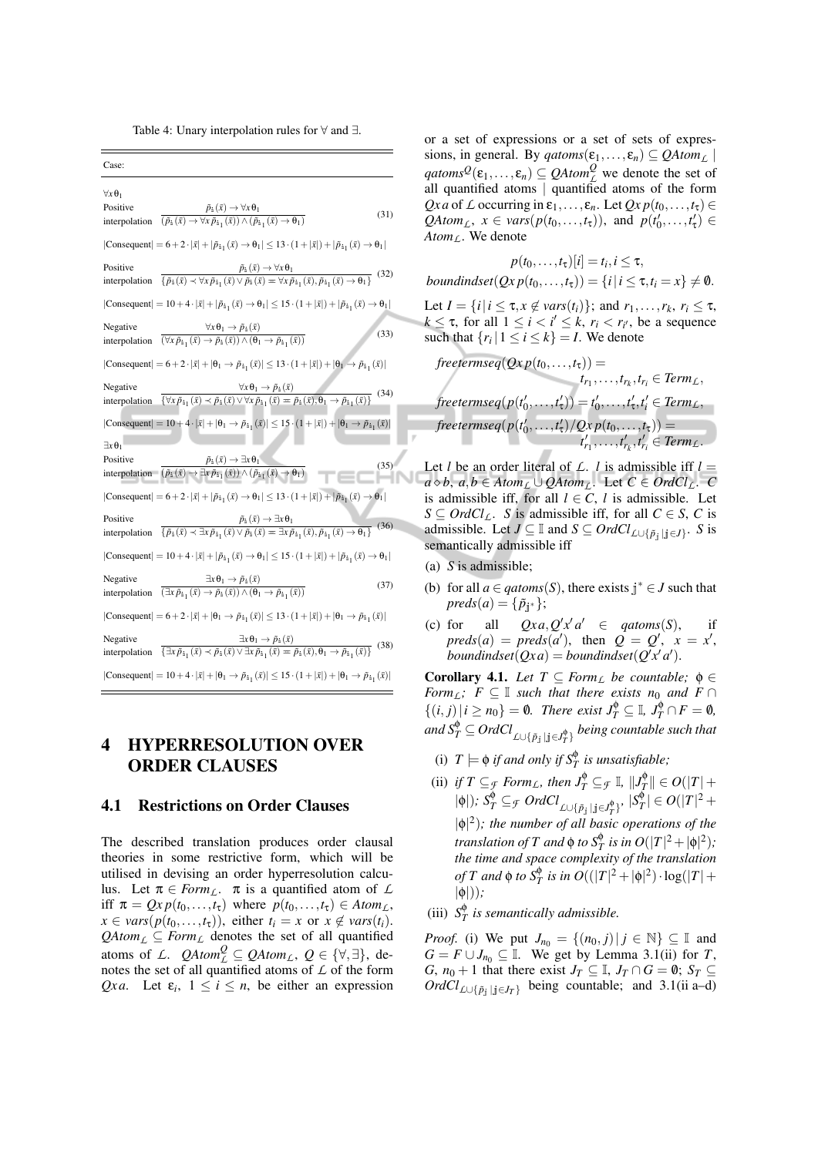Table 4: Unary interpolation rules for ∀ and ∃.

Case: ∀*x*θ<sup>1</sup> Positive interpolation  $(\tilde{p}_i(\bar{x}) \rightarrow \forall x \, \tilde{p}_{i_1}(\bar{x})) \land (\tilde{p}_{i_1}(\bar{x}) \rightarrow \theta_1)$  $\tilde{p}_i(\bar{x}) \rightarrow \forall x \theta_1$ (31)  $|\text{Consequent}| = 6 + 2 \cdot |\bar{x}| + |\tilde{p}_{i_1}(\bar{x}) \rightarrow \theta_1| \le 13 \cdot (1 + |\bar{x}|) + |\tilde{p}_{i_1}(\bar{x}) \rightarrow \theta_1|$ Positive interpolation  $\{\tilde{p}_i(\bar{x}) \prec \forall x \tilde{p}_{i_1}(\bar{x}) \lor \tilde{p}_i(\bar{x}) = \forall x \tilde{p}_{i_1}(\bar{x}), \tilde{p}_{i_1}(\bar{x}) \rightarrow \theta_1\}$  $\tilde{p}_1(\bar{x}) \rightarrow \forall x \theta_1$ (32)  $|\text{Consequent}| = 10 + 4 \cdot |\bar{x}| + |\tilde{p}_{i_1}(\bar{x}) \rightarrow \theta_1| \leq 15 \cdot (1 + |\bar{x}|) + |\tilde{p}_{i_1}(\bar{x}) \rightarrow \theta_1|$ Negative interpolation  $\frac{\overline{(x_i p_{i1}(x))} + \overline{p_1(x)}}{(\overline{x_i p_{i1}(x)}) \wedge (\theta_1 \rightarrow \overline{p_{i1}(x)})}$  (33)  $\forall x \theta_1 \rightarrow \tilde{p}_i(\bar{x})$  $|\text{Consequent}| = 6 + 2 \cdot |\bar{x}| + |\theta_1 \to \tilde{p}_{i_1}(\bar{x})| \leq 13 \cdot (1 + |\bar{x}|) + |\theta_1 \to \tilde{p}_{i_1}(\bar{x})|$ Negative interpolation  $\frac{\partial^2 u}{\partial x^2} + \frac{\partial^2 u}{\partial y^2} + \frac{\partial^2 u}{\partial z^2} + \frac{\partial^2 u}{\partial x^2} + \frac{\partial^2 u}{\partial y^2} + \frac{\partial^2 u}{\partial y^2} + \frac{\partial^2 u}{\partial y^2} + \frac{\partial^2 u}{\partial z^2} + \frac{\partial^2 u}{\partial x^2} + \frac{\partial^2 u}{\partial y^2} + \frac{\partial^2 u}{\partial y^2} + \frac{\partial^2 u}{\partial x^2} + \frac{\partial^2 u}{\partial y^2} + \frac{\partial^2 u}{\partial y$  $\forall x \theta_1 \rightarrow \tilde{p}_i(\bar{x})$  $|\text{Consequent}| = 10 + 4 \cdot |\bar{x}| + |\theta_1 \rightarrow \tilde{p}_{i_1}(\bar{x})| \leq 15 \cdot (1 + |\bar{x}|) + |\theta_1 \rightarrow \tilde{p}_{i_1}(\bar{x})|$ ∃*x*θ<sup>1</sup> Positive interpolation  $(\tilde{p}_i(\bar{x}) \rightarrow \exists x \, \tilde{p}_{i_1}(\bar{x})) \wedge (\tilde{p}_{i_1}(\bar{x}) \rightarrow \theta_1)$  $\tilde{p}_i(\bar{x}) \rightarrow \exists x \theta$ (35)  $|\text{Consequent}| = 6 + 2 \cdot |\bar{x}| + |\tilde{p}_{i_1}(\bar{x}) \rightarrow \theta_1| \leq 13 \cdot (1 + |\bar{x}|) + |\tilde{p}_{i_1}(\bar{x}) \rightarrow \theta_1|$ Positive interpolation  $\overline{\{\tilde{p}_i(\bar{x}) \prec \exists x \, \tilde{p}_{i_1}(\bar{x}) \vee \tilde{p}_i(\bar{x}) = \exists x \, \tilde{p}_{i_1}(\bar{x}), \tilde{p}_{i_1}(\bar{x}) \rightarrow \theta_1\}}$  $\tilde{p}_i(\bar{x}) \rightarrow \exists x \theta_1$ (36)  $|\text{Consequent}| = 10 + 4 \cdot |\bar{x}| + |\tilde{p}_{i_1}(\bar{x}) \rightarrow \theta_1| \leq 15 \cdot (1 + |\bar{x}|) + |\tilde{p}_{i_1}(\bar{x}) \rightarrow \theta_1|$ Negative interpolation  $\overline{(\exists x \tilde{p}_{i_1}(\bar{x}) \rightarrow \tilde{p}_i(\bar{x})) \land (\theta_1 \rightarrow \tilde{p}_{i_1}(\bar{x}))}$  (37)  $∃xθ₁ → ρ̃₁(x)$  $|\text{Consequent}| = 6 + 2 \cdot |\bar{x}| + |\theta_1 \rightarrow \tilde{p}_{i_1}(\bar{x})| \leq 13 \cdot (1 + |\bar{x}|) + |\theta_1 \rightarrow \tilde{p}_{i_1}(\bar{x})|$ Negative interpolation  $\exists x \theta_1 \rightarrow \tilde{p}_i(\bar{x})$  $\frac{1}{\sqrt{2\pi\tilde{p}_{i_1}(\bar{x})}\sqrt{2\pi\tilde{p}_{i_1}(\bar{x})}\sqrt{2\pi\tilde{p}_{i_1}(\bar{x})}\sqrt{2\pi\tilde{p}_{i_1}(\bar{x})}\n}$ (38)  $|\text{Consequent}| = 10 + 4 \cdot |\bar{x}| + |\theta_1 \to \tilde{p}_{i_1}(\bar{x})| \le 15 \cdot (1 + |\bar{x}|) + |\theta_1 \to \tilde{p}_{i_1}(\bar{x})|$ 

## 4 HYPERRESOLUTION OVER ORDER CLAUSES

#### 4.1 Restrictions on Order Clauses

The described translation produces order clausal theories in some restrictive form, which will be utilised in devising an order hyperresolution calculus. Let  $\pi \in \text{Form}_L$ .  $\pi$  is a quantified atom of L iff  $\pi = Qx p(t_0, \ldots, t_{\tau})$  where  $p(t_0, \ldots, t_{\tau}) \in Atom_{\mathcal{L}}$ ,  $x \in vars(p(t_0, \ldots, t_{\tau}))$ , either  $t_i = x$  or  $x \notin vars(t_i)$ .  $QAtom_{\mathcal{L}} \subseteq Form_{\mathcal{L}}$  denotes the set of all quantified atoms of *L*.  $QAtom_{L}^{Q} \subseteq QAtom_{L}$ ,  $Q \in \{\forall, \exists\}$ , denotes the set of all quantified atoms of *L* of the form *Qxa*. Let  $\varepsilon_i$ ,  $1 \le i \le n$ , be either an expression

or a set of expressions or a set of sets of expressions, in general. By  $qatoms(\varepsilon_1,...,\varepsilon_n) \subseteq QAtom_{\mathcal{L}}$  $qatoms^{\mathcal{Q}}(\varepsilon_1,...,\varepsilon_n) \subseteq \mathcal{Q}Atom^{\mathcal{Q}}_{\mathcal{L}}$  we denote the set of all quantified atoms | quantified atoms of the form *Qx a* of *L* occurring in  $\varepsilon_1, \ldots, \varepsilon_n$ . Let  $Qx p(t_0, \ldots, t_\tau) \in$ *QAtom<sub>L</sub>*,  $x \in vars(p(t_0, ..., t_\tau))$ , and  $p(t'_0, ..., t'_\tau) \in$ *AtomL*. We denote

$$
p(t_0,\ldots,t_{\tau})[i] = t_i, i \leq \tau,
$$
  
boundindset $(Qx p(t_0,\ldots,t_{\tau})) = \{i | i \leq \tau, t_i = x\} \neq \emptyset.$ 

Let  $I = \{i | i \leq \tau, x \notin vars(t_i)\}$ ; and  $r_1, \ldots, r_k, r_i \leq \tau$ ,  $k \leq \tau$ , for all  $1 \leq i \leq i' \leq k$ ,  $r_i \leq r_{i'}$ , be a sequence such that  $\{r_i | 1 \le i \le k\} = I$ . We denote

$$
freeterms eq(Qx p(t_0,...,t_{\tau})) =
$$
  
\n
$$
t_{r_1},...,t_{r_k},t_{r_i} \in Term_L,
$$
  
\n
$$
freeterms eq(p(t'_0,...,t'_{\tau})) = t'_0,...,t'_{\tau},t'_i \in Term_L,
$$
  
\n
$$
freeterms eq(p(t'_0,...,t'_{\tau})/Qx p(t_0,...,t_{\tau})) =
$$
  
\n
$$
t'_{r_1},...,t'_{r_k},t'_{r_i} \in Term_L.
$$

Let *l* be an order literal of  $\mathcal{L}$ . *l* is admissible iff  $l =$ *a*  $\diamond$ *b*, *a*,*b* ∈ *Atom<sub><i>L*</sub></sub> ∪ *QAtom<sub><i>L*</sub>. Let *C* ∈ *OrdCl<sub><i>L*</sub>. *C* is admissible iff, for all  $l \in \mathbb{C}$ , *l* is admissible. Let *S* ⊆ *OrdCl<sub>L</sub>*. *S* is admissible iff, for all *C* ∈ *S*, *C* is admissible. Let  $J \subseteq \mathbb{I}$  and  $S \subseteq OrdCl_{\mathbb{L}\cup{\{\tilde{p}_j \mid j \in J\}}}$ . *S* is semantically admissible iff

- (a) *S* is admissible;
- (b) for all  $a \in q \text{atoms}(S)$ , there exists  $j^* \in J$  such that  $preds(a) = {\tilde{p}_{j^*}}$ ;
- (c) for all  $Qxa, Q'x'd' \in qatoms(S)$ , if  $preds(a) = preds(a'),$  then  $Q = Q',$   $x = x',$  $bounded (Qxa) = bounded (Q'x'a').$

**Corollary 4.1.** Let  $T \subseteq Form_L$  be countable;  $\phi \in$ *Form*<sub>*L*</sub>;  $F \subseteq \mathbb{I}$  *such that there exists n*<sub>0</sub> *and*  $F \cap$  $\{(i, j) | i \ge n_0\} = \emptyset$ . There exist  $J_T^{\phi} \subseteq \mathbb{I}, J_T^{\phi} \cap F = \emptyset$ , and  $S_T^\phi \subseteq OrdCl_{\text{$L$}\cup \{\tilde{p}_\textbf{j} \mid \textbf{j} \in J_T^\phi\}}$  *being countable such that* 

- (i)  $T \models \phi$  *if and only if*  $S_T^{\phi}$  *is unsatisfiable;*
- (ii) *if*  $T \subseteq_{\mathcal{F}} \textit{Form}_L$ *, then*  $J_T^{\phi} \subseteq_{\mathcal{F}} \mathbb{I}$ *,*  $||J_T^{\phi}|| \in O(|T| + \frac{1}{2})$  $|\phi|$ *);*  $S_T^{\phi} \subseteq \mathcal{F}$   $OrdCl_{\mathcal{L} \cup \{\tilde{p}_j \mid j \in J_T^{\phi}\}}$ ,  $|S_T^{\phi}| \in O(|T|^2 + \mathcal{F})$ |φ| 2 )*; the number of all basic operations of the translation of*  $T$  *and*  $\phi$  *to*  $S_T^{\phi}$  *is in*  $O(|T|^2 + |\phi|^2)$ *; the time and space complexity of the translation of T* and  $\phi$  *to*  $S_T^{\phi}$  *is in*  $O((|T|^2 + |\phi|^2) \cdot \log(|T| +$ |φ|))*;*

(iii)  $S_T^{\phi}$  *is semantically admissible.* 

*Proof.* (i) We put  $J_{n_0} = \{(n_0, j) | j \in \mathbb{N}\}\subseteq \mathbb{I}$  and *G* = *F* ∪ *J*<sub>*n*0</sub> ⊆ **I**. We get by Lemma 3.1(ii) for *T*, *G*,  $n_0 + 1$  that there exist  $J_T \subseteq \mathbb{I}$ ,  $J_T \cap G = \emptyset$ ;  $S_T \subseteq$ *OrdCl*<sub>L∪{ $\tilde{p}_i$ |j∈*J*<sup>T</sup>} being countable; and 3.1(ii a–d)</sub>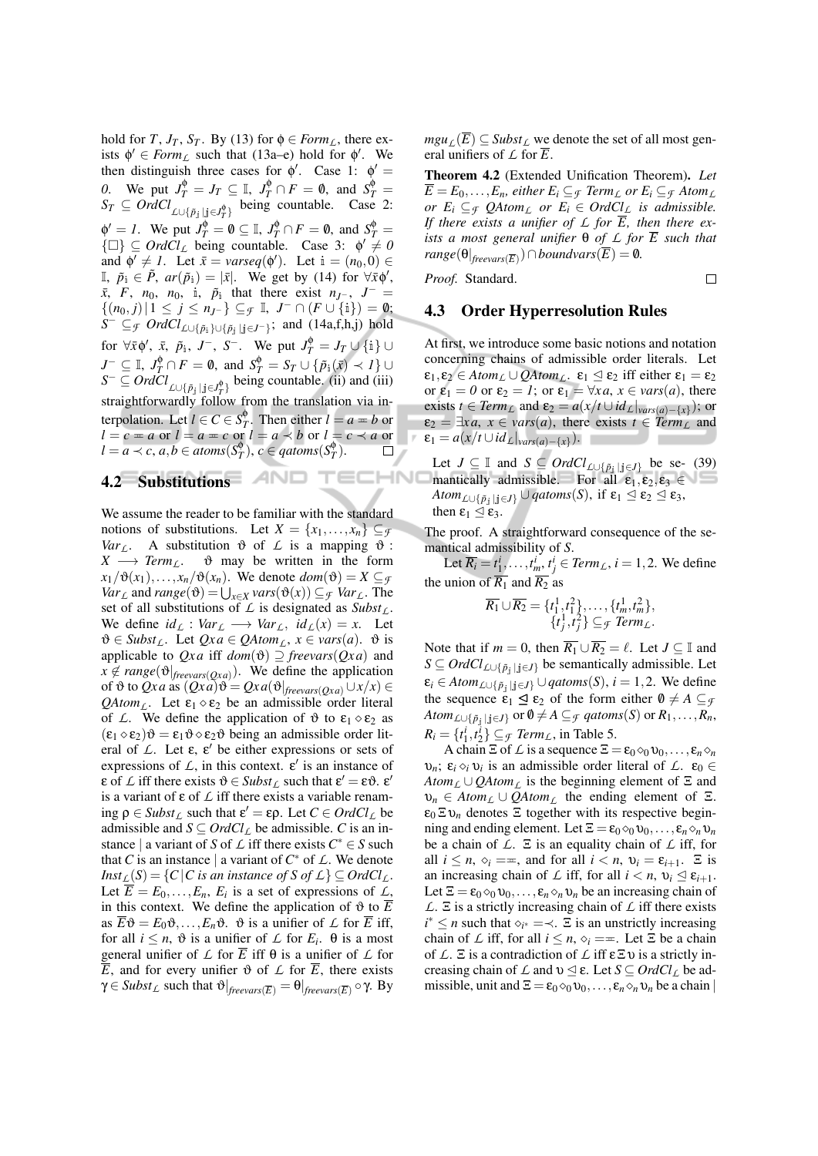hold for *T*, *J<sub>T</sub>*, *S<sub>T</sub>*. By (13) for  $\phi \in Form_L$ , there exists  $\phi' \in \text{Form}_L$  such that (13a–e) hold for  $\phi'$ . We then distinguish three cases for  $\phi'$ . Case 1:  $\phi' =$ *0*. We put  $J_T^{\phi} = J_T \subseteq \mathbb{I}$ ,  $J_T^{\phi} \cap F = \emptyset$ , and  $S_T^{\phi} =$  $S_T \subseteq \text{Ord}Cl_{\text{L}\cup \{\tilde{p}_j \mid j \in J_T^{\phi}\}}$  being countable. Case 2:  $\phi' = I$ . We put  $J_T^{\phi} = \emptyset \subseteq \mathbb{I}$ ,  $J_T^{\phi} \cap F = \emptyset$ , and  $S_T^{\phi} = I$  $\{\Box\} \subseteq \text{Ord}{}Cl_L$  being countable. Case 3:  $\phi' \neq 0$ and  $\phi' \neq 1$ . Let  $\bar{x} = \text{varseq}(\phi')$ . Let  $i = (n_0, 0) \in$  $\mathbb{I}, \ \tilde{p}_i \in \tilde{P}, \ ar(\tilde{p}_i) = |\bar{x}|.$  We get by (14) for  $\forall \bar{x} \phi',$  $\bar{x}$ ,  $F$ ,  $n_0$ ,  $n_0$ , i,  $\tilde{p}_i$  that there exist  $n_{J-}$ ,  $J^-$  =  $\{(n_0, j) | 1 \leq j \leq n_{J} \} \subseteq$  *f*, *J*  $\cap$   $(F \cup \{i\}) = \emptyset;$ *S*<sup>−</sup> ⊆*f OrdCl*<sub>*L*∪{ $\tilde{p}_i$ }∪{ $\tilde{p}_j$ |j∈*J*−}</sub>; and (14a,f,h,j) hold for  $\forall \bar{x} \phi', \bar{x}, \tilde{p}_i, J^-, S^-$ . We put  $J_T^{\phi} = J_T \cup \{i\} \cup$  $J^{-} \subseteq \mathbb{I}, J_T^{\phi} \cap F = \emptyset$ , and  $S_T^{\phi} = S_T \cup {\{\tilde{p}_i(\bar{x}) \prec I\}} \cup$  $S^- \subseteq \text{Ord}Cl_{\text{L}\cup \{\tilde{p}_j \mid j \in J_T^{\phi}\}}$  being countable. (ii) and (iii) straightforwardly follow from the translation via interpolation. Let  $l \in C \in S_T^{\phi}$ . Then either  $l = a = b$  or  $l = c = a$  or  $l = a = c$  or  $l = a \prec b$  or  $l = c \prec a$  or  $l = a \prec c, a, b \in atoms(S_T^{\phi}), c \in qatoms(S_T^{\phi}).$ O,

## 4.2 Substitutions  $\Box$   $\Box$   $\Box$   $\Box$

We assume the reader to be familiar with the standard notions of substitutions. Let  $X = \{x_1, \ldots, x_n\} \subseteq \mathcal{F}$ *Var*<sub>*L*</sub>. A substitution  $\vartheta$  of *L* is a mapping  $\vartheta$  :<br>*X*  $\longrightarrow$  *Term<sub>L</sub>*.  $\vartheta$  may be written in the form  $\vartheta$  may be written in the form  $x_1/\vartheta(x_1),...,x_n/\vartheta(x_n)$ . We denote  $dom(\vartheta) = X \subseteq \mathcal{F}$ *Var*<sub>*L*</sub> and *range*( $\vartheta$ ) =  $\bigcup_{x \in X} \text{vars}(\vartheta(x)) \subseteq$  *f Var*<sub>*L*</sub>. The set of all substitutions of *L* is designated as *SubstL*. We define  $id_L$  :  $Var_L \longrightarrow Var_L$ ,  $id_L(x) = x$ . Let  $\vartheta \in \text{Subst}_L$ . Let  $Qxa \in \text{QAtom}_L$ ,  $x \in \text{vars}(a)$ .  $\vartheta$  is applicable to  $Qxa$  iff  $dom(\vartheta) \supseteq$  *freevars*( $Qxa$ ) and  $x \notin range(\theta|_{\text{freevars}(Qxa)})$ . We define the application of  $\vartheta$  to *Qx a* as  $(Qxa)\vartheta = Qxa(\vartheta)_{\text{freevars}(Oxa)} \cup x/x \in$ *QAtom<sub>L</sub>*. Let  $\varepsilon_1 \diamond \varepsilon_2$  be an admissible order literal of *L*. We define the application of  $\vartheta$  to  $\varepsilon_1 \diamond \varepsilon_2$  as  $(\epsilon_1 \diamond \epsilon_2) \vartheta = \epsilon_1 \vartheta \diamond \epsilon_2 \vartheta$  being an admissible order literal of  $L$ . Let  $\varepsilon$ ,  $\varepsilon'$  be either expressions or sets of expressions of  $\mathcal{L}$ , in this context.  $\epsilon'$  is an instance of  $\epsilon$  of  $\mathcal{L}$  iff there exists  $\vartheta \in \mathcal{S}ubst_{\mathcal{L}}$  such that  $\epsilon' = \epsilon \vartheta$ .  $\epsilon'$ is a variant of ε of *L* iff there exists a variable renam- $\log \rho \in \text{Subst}_{\mathcal{L}}$  such that  $\varepsilon' = \varepsilon \rho$ . Let  $C \in \text{Ord}Cl_{\mathcal{L}}$  be admissible and  $S \subseteq OrdCl_L$  be admissible. *C* is an instance | a variant of *S* of  $\angle$  iff there exists  $C^* \in S$  such that *C* is an instance | a variant of  $C^*$  of  $\mathcal{L}$ . We denote *Inst*<sub>*L*</sub>(*S*) = {*C*|*C is an instance of S of L*}  $\subseteq$  *OrdCl<sub><i>L*</sub>. Let  $\overline{E} = E_0, \ldots, E_n, E_i$  is a set of expressions of  $\mathcal{L}$ , in this context. We define the application of  $\vartheta$  to  $\overline{E}$ as  $\overline{E}\mathfrak{G} = E_0\mathfrak{G}, \ldots, E_n\mathfrak{G}$ .  $\mathfrak{G}$  is a unifier of  $\mathcal L$  for  $\overline{E}$  iff, for all  $i \leq n$ ,  $\vartheta$  is a unifier of  $\mathcal L$  for  $E_i$ .  $\theta$  is a most general unifier of  $\mathcal L$  for  $\overline{E}$  iff  $\theta$  is a unifier of  $\mathcal L$  for  $\overline{E}$ , and for every unifier  $\vartheta$  of  $\mathcal L$  for  $\overline{E}$ , there exists  $γ ∈ \textit{Subst}_\textit{L} \text{ such that } ∂ \mid_{ \textit{freevars}(\overline{E})} = ∅ \mid_{ \textit{freevars}(\overline{E})} ∘ γ.$  By

*mgu*<sub>*L*</sub>( $\overline{E}$ ) ⊆ *Subst*<sub>*L*</sub> we denote the set of all most general unifiers of  $\angle$  for  $\overline{E}$ .

Theorem 4.2 (Extended Unification Theorem). *Let*  $\overline{E} = E_0, \ldots, E_n$ , either  $E_i \subseteq_{\mathcal{F}} \text{Term}_L$  or  $E_i \subseteq_{\mathcal{F}} \text{Atom}_L$ *or*  $E_i \subseteq$ <sub>*f*</sub>  $QAtom_{L}$  *or*  $E_i \in OrdC_{L}$  *is admissible. If there exists a unifier of L for E, then there exists a most general unifier* θ *of L for E such that*  $range(\Theta|_{\text{freevars}(\overline{E})}) \cap \text{boundary}(\overline{E}) = \emptyset.$ 

*Proof.* Standard.

 $\Box$ 

## 4.3 Order Hyperresolution Rules

I٢

At first, we introduce some basic notions and notation concerning chains of admissible order literals. Let  $\varepsilon_1, \varepsilon_2 \in Atom_L \cup QAtom_L$ .  $\varepsilon_1 \leq \varepsilon_2$  iff either  $\varepsilon_1 = \varepsilon_2$ or  $\varepsilon_1 = 0$  or  $\varepsilon_2 = 1$ ; or  $\varepsilon_1 = \forall x \in \mathit{vars}(a)$ , there exists *t* ∈ *Term*<sub>*L*</sub> and  $\varepsilon_2 = a(x/t \cup id_L|_{vars(a) - \{x\}})$ ; or  $\varepsilon_2 = \exists xa, x \in vars(a),$  there exists  $t \in Term_L$  and  $\varepsilon_1 = a(x/t \cup id_L|_{vars(a)-\{x\}}).$ 

Let *J*  $\subseteq$  I and *S*  $\subseteq$  *OrdCl*<sub>*L*∪{ $\tilde{p}_j | j \in J$ } be se- (39)</sub> **IHNO** mantically admissible. For all  $\varepsilon_1, \varepsilon_2, \varepsilon_3 \in$ *Atom*<sub>L∪{ $\tilde{p}_i | i \in J$ }  $\cup$  *qatoms*(*S*), if  $\epsilon_1 \leq \epsilon_2 \leq \epsilon_3$ ,</sub> then  $\varepsilon_1 \leq \varepsilon_3$ .

> The proof. A straightforward consequence of the semantical admissibility of *S*.

> Let  $\overline{R_i} = t_1^i, \ldots, t_m^i, t_j^i \in \text{Term}_L, i = 1, 2$ . We define the union of  $\overline{R_1}$  and  $\overline{R_2}$  as

$$
\overline{R_1} \cup \overline{R_2} = \{t_1^1, t_1^2\}, \dots, \{t_m^1, t_m^2\}, \{t_j^1, t_j^2\} \subseteq \mathcal{F}
$$
  
Term<sub>L</sub>.

Note that if  $m = 0$ , then  $\overline{R_1} \cup \overline{R_2} = \ell$ . Let  $J \subseteq \mathbb{I}$  and *S* ⊆ *OrdCl*<sub>*L*∪{ $\tilde{p}_i$ | $\tilde{p}_j$ } be semantically admissible. Let</sub>  $\varepsilon_i \in Atom_{\mathcal{L} \cup \{\tilde{p}_i | j \in J\}} \cup qatoms(S), i = 1, 2$ . We define the sequence  $\varepsilon_1 \leq \varepsilon_2$  of the form either  $\theta \neq A \subseteq \mathcal{F}$ *Atom*<sub>L∪{ $\tilde{p}_i$ | $j \in J$ } or  $\emptyset \neq A \subseteq$ *f qatoms*(*S*) or  $R_1, \ldots, R_n$ ,</sub>  $R_i = \{t_1^i, t_2^i\} \subseteq \mathcal{F}$  *Term*<sub>*L*</sub>, in Table 5.

A chain  $\Xi$  of  $\mathcal L$  is a sequence  $\Xi = \varepsilon_0 \otimes_0 \upsilon_0, \ldots, \varepsilon_n \otimes_n$ *v*<sub>*n*</sub>;  $\varepsilon_i \circ_i v_i$  is an admissible order literal of *L*.  $\varepsilon_0 \in$ *Atom<sub>L</sub>*  $\cup$  *QAtom<sub>L</sub>* is the beginning element of Ξ and  $v_n \in Atom_L \cup QAtom_L$  the ending element of Ξ.  $\varepsilon_0 \Sigma \nu_n$  denotes  $\Sigma$  together with its respective beginning and ending element. Let  $\Xi = \varepsilon_0 \otimes_0 \nu_0, \ldots, \varepsilon_n \otimes_n \nu_n$ be a chain of *L*. Ξ is an equality chain of *L* iff, for all  $i \leq n$ ,  $\diamond_i ==$ , and for all  $i < n$ ,  $\nu_i = \varepsilon_{i+1}$ .  $\Xi$  is an increasing chain of *L* iff, for all  $i < n$ ,  $v_i \le \varepsilon_{i+1}$ . Let  $\Xi = \varepsilon_0 \otimes_0 \nu_0, \ldots, \varepsilon_n \otimes_n \nu_n$  be an increasing chain of *L*. Ξ is a strictly increasing chain of *L* iff there exists  $i^* \leq n$  such that  $\diamond_{i^*} = \prec$ .  $\Xi$  is an unstrictly increasing chain of *L* iff, for all  $i \leq n$ ,  $\diamond_i = \pm$ . Let  $\Xi$  be a chain of *L*. Ξ is a contradiction of *L* iff εΞυ is a strictly increasing chain of  $\mathcal L$  and  $v \leq \varepsilon$ . Let  $S \subseteq OrdCl_{\mathcal L}$  be admissible, unit and  $\Xi = \varepsilon_0 \otimes_0 \nu_0, \ldots, \varepsilon_n \otimes_n \nu_n$  be a chain |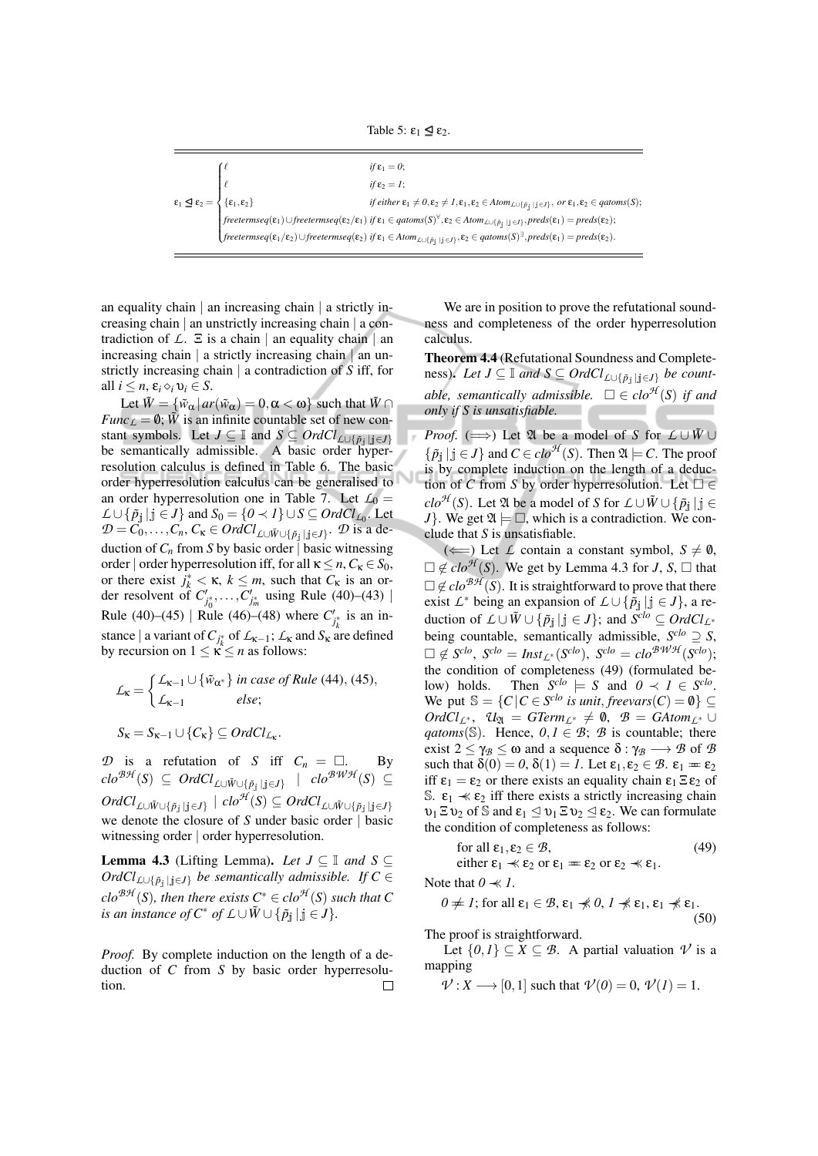Table 5:  $\varepsilon_1 \leq \varepsilon_2$ .

|                                                                                             | if $\varepsilon_1 = 0$ :                                                                                                                                                                                                                                                                       |
|---------------------------------------------------------------------------------------------|------------------------------------------------------------------------------------------------------------------------------------------------------------------------------------------------------------------------------------------------------------------------------------------------|
|                                                                                             | $if \varepsilon_2 = 1;$                                                                                                                                                                                                                                                                        |
| $\epsilon_1 \leq \epsilon_2 = \begin{cases} \ell \\ \{\epsilon_1, \epsilon_2\} \end{cases}$ | $\emph{if either} \ \epsilon_1 \neq 0, \epsilon_2 \neq 1, \epsilon_1, \epsilon_2 \in \emph{Atom}_{\text{L}\cup \{\tilde{p}_1\} \mid j \in J\}}, \ \emph{or} \ \epsilon_1, \epsilon_2 \in \emph{qatoms}(S);$                                                                                    |
|                                                                                             | $\bigg  \textit{freeterms} q(\epsilon_1) \cup \textit{freeterms} q(\epsilon_2/\epsilon_1) \textit{ if } \epsilon_1 \in \textit{qatoms}(S)^{\forall}, \epsilon_2 \in \textit{Atom}_{\textit{L} \cup \{\tilde{p}_j \,   \, j \in J\}}, \textit{preds}(\epsilon_1) = \textit{preds}(\epsilon_2);$ |
|                                                                                             | $\Big({\it free terms eq}(\epsilon_1/\epsilon_2) \cup {\it free terms eq}(\epsilon_2) \textit{ if } \epsilon_1 \in {\it Atom}_{\mathcal{L} \cup \{\tilde{p}_1   j \in J\}}, \epsilon_2 \in {\it qatoms}(S)^{\exists}, {\it preds}(\epsilon_1) = {\it preds}(\epsilon_2).$                      |
|                                                                                             |                                                                                                                                                                                                                                                                                                |

an equality chain | an increasing chain | a strictly increasing chain | an unstrictly increasing chain | a contradiction of  $\mathcal{L}$ .  $\Xi$  is a chain | an equality chain | an increasing chain | a strictly increasing chain | an unstrictly increasing chain | a contradiction of *S* iff, for all  $i \leq n$ ,  $\varepsilon_i \diamond_i v_i \in S$ .

Let  $\tilde{W} = {\tilde{w}_{\alpha} | ar(\tilde{w}_{\alpha}) = 0, \alpha < \omega}$  such that  $\tilde{W} \cap$ *Func*<sub>*L*</sub> = 0;  $\tilde{W}$  is an infinite countable set of new constant symbols. Let *J* ⊆ I and *S* ⊆ *OrdCl*<sub>*L*∪{*p*<sup>*i*</sup></sup><sub>*i*</sub> | *j*∈*J*}</sub> be semantically admissible. A basic order hyperresolution calculus is defined in Table 6. The basic order hyperresolution calculus can be generalised to an order hyperresolution one in Table 7. Let  $L_0 =$ *L* ∪ { $\tilde{p}_j$  |  $j \in J$ } and *S*<sup>0</sup> = { $0 \prec I$ } ∪ *S* ⊆ *OrdCl<sub><i>L*0</sub></sub>. Let *D* = *C*<sub>0</sub>,...,*C<sub>n</sub>*, *C*<sub>κ</sub> ∈ *OrdCl*<sub>*L*∪*W*∪{ $\tilde{p}_j | j \in J$ }</sub>. *D* is a deduction of  $C_n$  from *S* by basic order basic witnessing order | order hyperresolution iff, for all  $\kappa \leq n, C_{\kappa} \in S_0$ , or there exist  $j_k^* < \kappa$ ,  $k \le m$ , such that  $C_{\kappa}$  is an order resolvent of  $C'_{j_0^*}, \ldots, C'_{j_m^*}$  using Rule (40)–(43) | Rule (40)–(45) | Rule (46)–(48) where  $C'_{j_k^*}$  is an instance | a variant of  $C_{j_k^*}$  of  $L_{k-1}$ ;  $L_k$  and  $S_k$  are defined by recursion on  $1 \leq \kappa \leq n$  as follows:

$$
\mathcal{L}_{\kappa} = \begin{cases} \mathcal{L}_{\kappa-1} \cup \{ \tilde{w}_{\alpha^*} \} \text{ in case of Rule (44), (45)}, \\ \mathcal{L}_{\kappa-1} \text{ else;} \end{cases}
$$

$$
S_{\kappa} = S_{\kappa-1} \cup \{ C_{\kappa} \} \subseteq \text{OrdCl}_{\mathcal{L}_{\kappa}}.
$$

*D* is a refutation of *S* iff  $C_n = \Box$ . By  $clo^{\mathcal{BH}}(S)$  ⊆  $OrdCl_{\mathcal{L} \cup \tilde{W} \cup \{\tilde{p}_j | j \in J\}}$  |  $clo^{\mathcal{BW}\mathcal{H}}(S)$  ⊆  $OrdCl_{\mathcal{L}\cup \tilde{W}\cup \{\tilde{p}_\mathbf{j}\,|\, \mathbf{j}\in J\}}\, \mid\, clo^{\mathcal{H}}(S)\subseteq OrdCl_{\mathcal{L}\cup \tilde{W}\cup \{\tilde{p}_\mathbf{j}\,|\, \mathbf{j}\in J\}}$ we denote the closure of *S* under basic order  $\vert$  basic witnessing order | order hyperresolution.

**Lemma 4.3** (Lifting Lemma). Let  $J \subseteq \mathbb{I}$  and  $S \subseteq$ *OrdCl*<sub>*L*∪{ $\tilde{p}_i$ | $j \in J$ }</sub> *be semantically admissible. If*  $C \in$  $clo^{\mathcal{BH}}(S)$ *, then there exists*  $C^* \in clo^{\mathcal{H}}(S)$  *such that* C *is an instance of*  $C^*$  *of*  $\mathcal{L} \cup \tilde{W} \cup \{\tilde{p}_j | j \in J\}$ .

*Proof.* By complete induction on the length of a deduction of *C* from *S* by basic order hyperresolution.  $\Box$ 

We are in position to prove the refutational soundness and completeness of the order hyperresolution calculus.

Theorem 4.4 (Refutational Soundness and Completeness). Let  $J \subseteq \mathbb{I}$  and  $S \subseteq OrdCl_{\mathbb{L} \cup \{\tilde{p}_i \mid i \in J\}}$  be count*able, semantically admissible.*  $\Box \in clo^{\mathcal{H}}(S)$  *if and only if S is unsatisfiable.*

*Proof.* ( $\implies$ ) Let  $\mathfrak A$  be a model of *S* for  $\mathcal L \cup \tilde W \cup$  $\{\tilde{p}_i | j \in J\}$  and  $C \in clo^{\mathcal{H}}(S)$ . Then  $\mathfrak{A} \models C$ . The proof is by complete induction on the length of a deduction of *C* from *S* by order hyperresolution. Let  $\square \in$  $clo^{\mathcal{H}}(S)$ . Let  $\mathfrak A$  be a model of *S* for  $\mathcal L \cup \tilde W \cup \{\tilde p_i | j \in$ *J*}. We get  $\mathfrak{A} \models \Box$ , which is a contradiction. We conclude that *S* is unsatisfiable.

 $(\Leftarrow)$  Let L contain a constant symbol,  $S \neq \emptyset$ ,  $\Box \notin clo^{\mathcal{H}}(S)$ . We get by Lemma 4.3 for *J*, *S*,  $\Box$  that  $\Box \notin clo^{B\mathcal{H}}(\overline{S})$ . It is straightforward to prove that there exist  $\mathcal{L}^*$  being an expansion of  $\mathcal{L} \cup {\{\tilde{p}_j \mid j \in J\}}$ , a reduction of *L*∪ $\tilde{W}$ ∪{ $\tilde{p}_j$  | $j \in J$ }; and  $S^{clo} \subseteq OrdCl_{\mathcal{L}^*}$ being countable, semantically admissible,  $S^{clo} \supseteq S$ ,  $\Box \notin S^{clo}, S^{clo} = Inst_{\mathcal{L}^*}(S^{clo}), S^{clo} = clo^{B\mathcal{W}\mathcal{H}}(S^{clo});$ the condition of completeness (49) (formulated below) holds.  $P^{clo}$   $\models$  *S* and  $0 \prec I \in S^{clo}$ . We put  $\mathbb{S} = \{C | C \in S^{clo} \text{ is unit,} freevars(C) = \emptyset \} \subseteq$  $OrdCl_{L^*}, \ U_{\mathfrak{A}} = GTerm_{L^*} \neq \emptyset, \ \ \mathcal{B} = GAtom_{L^*} \cup$ *qatoms*(S). Hence,  $0, 1 \in \mathcal{B}$ ;  $\mathcal{B}$  is countable; there exist  $2 \leq \gamma_B \leq \omega$  and a sequence  $\delta : \gamma_B \longrightarrow \mathcal{B}$  of  $\mathcal{B}$ such that  $\delta(0) = 0$ ,  $\delta(1) = 1$ . Let  $\varepsilon_1, \varepsilon_2 \in \mathcal{B}$ .  $\varepsilon_1 = \varepsilon_2$ iff  $\epsilon_1 = \epsilon_2$  or there exists an equality chain  $\epsilon_1 \, \Xi \, \epsilon_2$  of S.  $\varepsilon_1 \ll \varepsilon_2$  iff there exists a strictly increasing chain  $v_1 \Xi v_2$  of S and  $\varepsilon_1 \leq v_1 \Xi v_2 \leq \varepsilon_2$ . We can formulate the condition of completeness as follows:

for all 
$$
\varepsilon_1, \varepsilon_2 \in \mathcal{B}
$$
,  
either  $\varepsilon_1 \prec \varepsilon_2$  or  $\varepsilon_1 = \varepsilon_2$  or  $\varepsilon_2 \prec \varepsilon_1$ . (49)

Note that  $0 \ll l$ .

$$
0 \neq l
$$
; for all  $\varepsilon_1 \in \mathcal{B}$ ,  $\varepsilon_1 \nless 0$ ,  $1 \nless \varepsilon_1$ ,  $\varepsilon_1 \nless \varepsilon_1$ . (50)

The proof is straightforward.

Let  $\{0,1\} \subseteq X \subseteq B$ . A partial valuation  $\mathcal V$  is a mapping

 $V: X \longrightarrow [0, 1]$  such that  $V(0) = 0, V(1) = 1$ .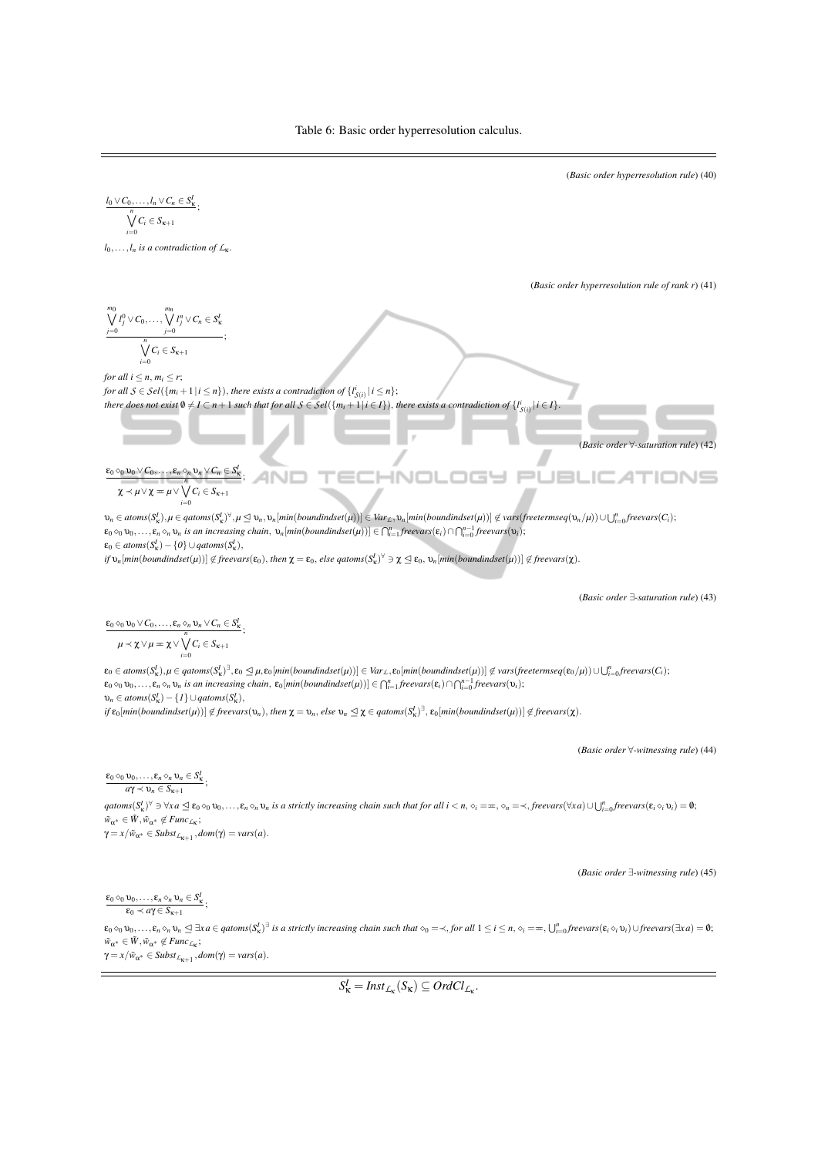

 $\gamma = x/\tilde{w}_{\alpha^*} \in Subst_{L_{\kappa+1}}, dom(\gamma) = vars(a).$ 

 $S^I_{\kappa} = \text{Inst}_{\mathcal{L}_{\kappa}}(S_{\kappa}) \subseteq \text{Ord}Cl_{\mathcal{L}_{\kappa}}.$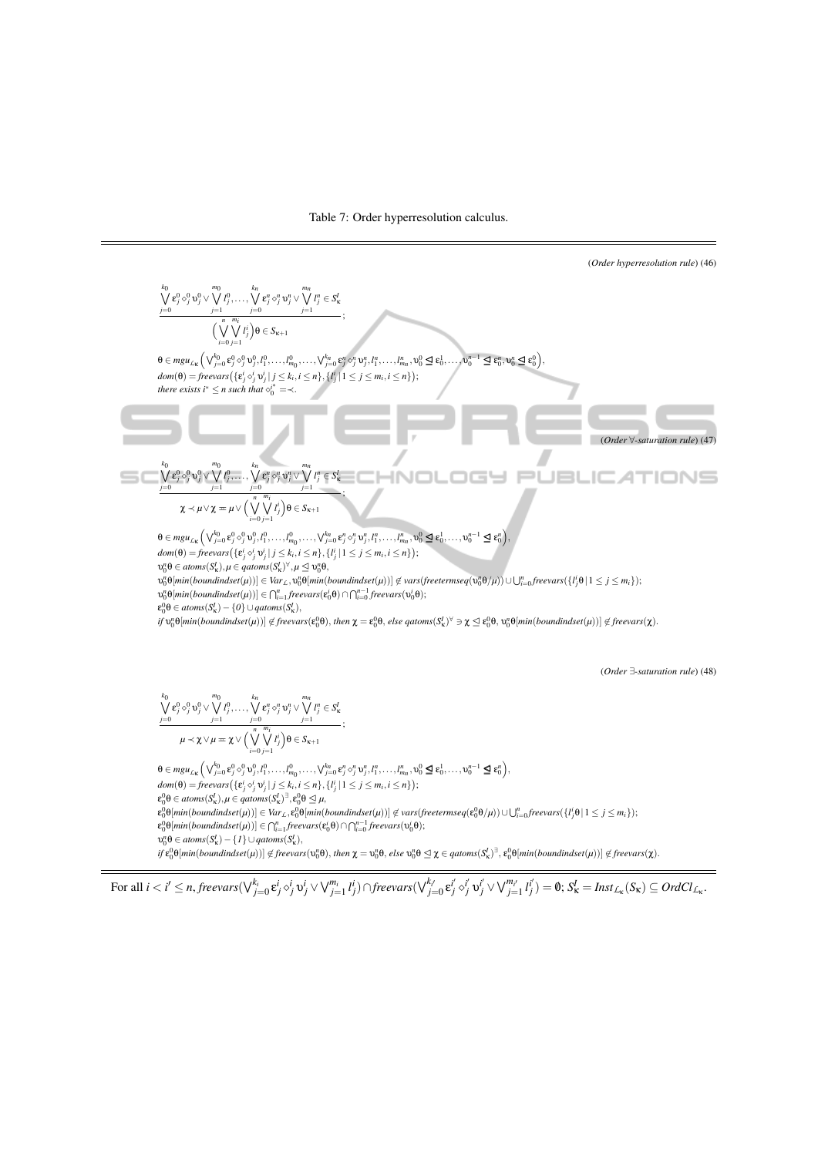Table 7: Order hyperresolution calculus.

(Order hyperesolution rule) (46)  
\n
$$
\frac{\sqrt{6}}{2}e^{\frac{2}{3}}\circ\frac{1}{3}y^2\sqrt{\sqrt{6}}\int_{j=1}^{m_1}\cdots\int_{j=0}^{m_2}e^{\frac{2}{3}}\circ\frac{1}{3}y^2\sqrt{\sqrt{6}}\int_{j=1}^{m_1}\cdots\int_{j=0}^{m_2}e^{\frac{2}{3}}\circ\frac{1}{3}y^2\sqrt{\frac{6}{3}}\int_{j=1}^{m_1}\cdots\int_{j=0}^{m_2}e^{\frac{2}{3}}\circ\frac{1}{3}y^2\sqrt{\frac{6}{3}}\int_{j=1}^{m_1}\cdots\int_{j=0}^{m_2}e^{\frac{2}{3}}\circ\frac{1}{3}y^2\sqrt{\frac{6}{3}}\int_{j=1}^{m_1}\cdots\int_{j=0}^{m_2}e^{\frac{2}{3}}\circ\frac{1}{3}y^2\sqrt{\frac{6}{3}}\int_{j=1}^{m_1}\cdots\int_{j=0}^{m_2}e^{\frac{2}{3}}\int_{j=1}^{m_1}\frac{1}{\sqrt{6}}\int_{j=0}^{m_2}\frac{1}{\sqrt{6}}\int_{j=0}^{m_2}\frac{1}{\sqrt{6}}\int_{j=0}^{m_2}\frac{1}{\sqrt{6}}\int_{j=0}^{m_2}\frac{1}{\sqrt{6}}\int_{j=0}^{m_2}\frac{1}{\sqrt{6}}\int_{j=0}^{m_2}\frac{1}{\sqrt{6}}\int_{j=0}^{m_2}\frac{1}{\sqrt{6}}\int_{j=0}^{m_2}\frac{1}{\sqrt{6}}\int_{j=0}^{m_2}\frac{1}{\sqrt{6}}\int_{j=0}^{m_2}\frac{1}{\sqrt{6}}\int_{j=0}^{m_2}\frac{1}{\sqrt{6}}\int_{j=0}^{m_2}\frac{1}{\sqrt{6}}\int_{j=0}^{m_2}\frac{1}{\sqrt{6}}\int_{j=0}^{m_2}\frac{1}{\sqrt{6}}\int_{j=0}^{m_2}\frac{1}{\sqrt{6}}\int_{j=0}^{m_2}\frac{1}{\sqrt{6}}\int_{j=0}^{m_2}\frac{1}{\sqrt{6}}\int_{j=0}^{m_2}\frac{1
$$

 $v_0^n \theta \in atoms(S_{\kappa}^I) - \{I\} \cup qatoms(S_{\kappa}^I),$ 

 $if \varepsilon_0^0\theta[\textit{min}(\textit{bound} \textit{index}(\mu))] \not\in \textit{freevars}(\nu_0^n\theta), \textit{then } \chi = \nu_0^n\theta, \textit{else } \nu_0^n\theta \unlhd \chi \in \textit{qatoms}(S^I_\kappa)^\exists, \varepsilon_0^0\theta[\textit{min}(\textit{bound} \textit{index}(\mu))] \not\in \textit{freevars}(\chi).$ 

$$
\text{For all } i < i' \leq n, \textit{freevars}(\bigvee_{j=0}^{k_i} \mathbf{e}^i_j \circ^i_j \mathbf{v}^i_j \vee \bigvee_{j=1}^{m_i} l^i_j) \cap \textit{freevars}(\bigvee_{j=0}^{k_{i'}} \mathbf{e}^{i'}_j \circ^i_j \mathbf{v}^i_j \vee \bigvee_{j=1}^{m_{i'}} l^i_j) = \textbf{0}; \ S^I_{\mathbf{k}} = \textit{Inst}_{\mathcal{L}_{\mathbf{k}}}(S_{\mathbf{k}}) \subseteq \textit{OrdCl}_{\mathcal{L}_{\mathbf{k}}}.
$$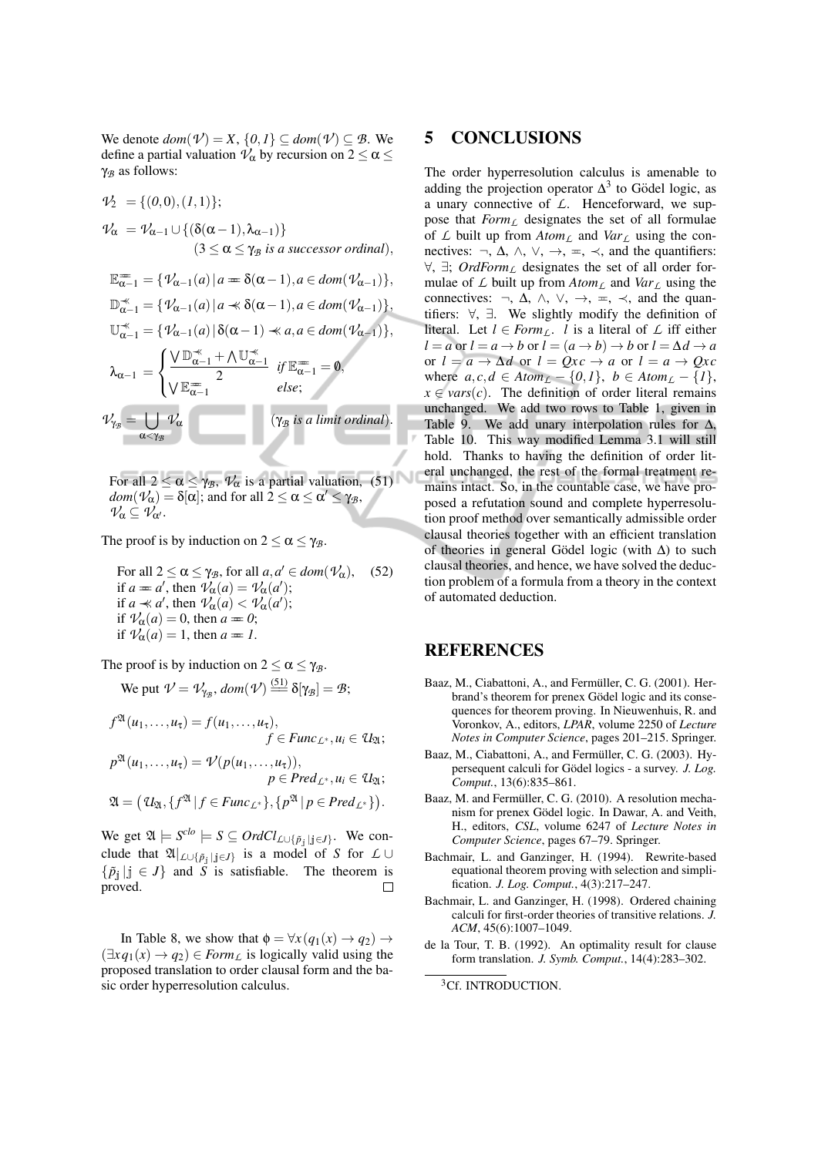We denote  $dom(\mathcal{V}) = X$ ,  $\{0,1\} \subseteq dom(\mathcal{V}) \subseteq \mathcal{B}$ . We define a partial valuation  $\mathcal{V}_{\alpha}$  by recursion on  $2 \le \alpha \le$ γ*<sup>B</sup>* as follows:

$$
\mathcal{V}_2 = \{ (0,0), (1,1) \};
$$
  
\n
$$
\mathcal{V}_{\alpha} = \mathcal{V}_{\alpha-1} \cup \{ (\delta(\alpha-1), \lambda_{\alpha-1}) \}
$$
  
\n
$$
(3 \leq \alpha \leq \gamma_B \text{ is a successor ordinal}),
$$
  
\n
$$
\mathbb{E}_{\alpha-1}^{\infty} = \{ \mathcal{V}_{\alpha-1}(a) \mid a = \delta(\alpha-1), a \in dom(\mathcal{V}_{\alpha-1}) \},
$$

$$
\mathbb{D}_{\alpha-1}^* = \{ \mathcal{V}_{\alpha-1}(a) \mid a \ll \delta(\alpha-1), a \in dom(\mathcal{V}_{\alpha-1}) \},
$$
  
\n
$$
\mathbb{U}_{\alpha-1}^* = \{ \mathcal{V}_{\alpha-1}(a) \mid \delta(\alpha-1) \ll a, a \in dom(\mathcal{V}_{\alpha-1}) \},
$$
  
\n
$$
\lambda_{\alpha-1} = \begin{cases} \sqrt{\mathbb{D}_{\alpha-1}^*} + \wedge \mathbb{U}_{\alpha-1}^* & \text{if } \mathbb{E}_{\alpha-1}^* = \mathbf{0}, \\ \sqrt{\mathbb{E}_{\alpha-1}^*} & \text{else}; \end{cases}
$$
  
\n
$$
\mathcal{V}_{\gamma_B} = \bigcup_{\alpha < \gamma_B} \mathcal{V}_{\alpha}
$$
  
\n
$$
(\gamma_B \text{ is a limit ordinal}).
$$

For all  $2 \le \alpha \le \gamma_B$ ,  $\mathcal{V}_{\alpha}$  is a partial valuation, (51)  $dom(\mathcal{V}_{\alpha}) = \delta[\alpha]$ ; and for all  $2 \le \alpha \le \alpha' \le \gamma_{\mathcal{B}}$ ,  $\mathcal{V}_\alpha \subseteq \mathcal{V}_{\alpha'}$ .

The proof is by induction on  $2 \le \alpha \le \gamma_B$ .

For all  $2 \le \alpha \le \gamma_B$ , for all  $a, a' \in dom(\mathcal{V}_\alpha)$ , if  $a = a'$ , then  $\overline{\nu_{\alpha}}(a) = \overline{\nu_{\alpha}}(a')$ ; if  $a \ll a'$ , then  $\mathcal{V}_{\alpha}(a) < \mathcal{V}_{\alpha}(a')$ ; if  $V_\alpha(a) = 0$ , then  $a = 0$ ; if  $\mathcal{V}_{\alpha}(a) = 1$ , then  $a = 1$ . (52)

The proof is by induction on  $2 \le \alpha \le \gamma_B$ .

We put 
$$
\mathcal{V} = \mathcal{V}_{\gamma_{\mathcal{B}}}, \text{dom}(\mathcal{V}) \stackrel{(51)}{=} \delta[\gamma_{\mathcal{B}}] = \mathcal{B};
$$

$$
f^{\mathfrak{A}}(u_1,\ldots,u_{\tau}) = f(u_1,\ldots,u_{\tau}),
$$
  
\n
$$
f \in \text{Func}_{\mathcal{L}^*}, u_i \in \mathcal{U}_{\mathfrak{A}};
$$
  
\n
$$
p^{\mathfrak{A}}(u_1,\ldots,u_{\tau}) = \mathcal{V}(p(u_1,\ldots,u_{\tau})),
$$
  
\n
$$
p \in \text{Pred}_{\mathcal{L}^*}, u_i \in \mathcal{U}_{\mathfrak{A}};
$$
  
\n
$$
\mathfrak{A} = (\mathcal{U}_{\mathfrak{A}}, \{f^{\mathfrak{A}} \mid f \in \text{Func}_{\mathcal{L}^*}\}, \{p^{\mathfrak{A}} \mid p \in \text{Pred}_{\mathcal{L}^*}\}).
$$

We get  $\mathfrak{A} \models S^{clo} \models S \subseteq OrdCl_{\mathcal{L}\cup \{\tilde{p}_j \mid j \in J\}}$ . We conclude that  $\mathfrak{A}|_{\mathcal{L}\cup\{\tilde{p}_j\mid j\in J\}}$  is a model of *S* for  $\mathcal{L}\cup\mathcal{L}$  $\{\tilde{p}_j | j \in J\}$  and  $\tilde{S}$  is satisfiable. The theorem is proved. proved.

In Table 8, we show that  $\phi = \forall x (q_1(x) \rightarrow q_2) \rightarrow$  $(\exists x q_1(x) \rightarrow q_2) \in Form_L$  is logically valid using the proposed translation to order clausal form and the basic order hyperresolution calculus.

### 5 CONCLUSIONS

The order hyperresolution calculus is amenable to adding the projection operator  $\Delta^3$  to Gödel logic, as a unary connective of *L*. Henceforward, we suppose that *FormL* designates the set of all formulae of  $\mathcal L$  built up from  $Atom_{\mathcal L}$  and  $Var_{\mathcal L}$  using the connectives:  $\neg$ ,  $\Delta$ ,  $\wedge$ ,  $\vee$ ,  $\rightarrow$ ,  $\Leftarrow$ ,  $\prec$ , and the quantifiers: ∀, ∃; *OrdForm<sup>L</sup>* designates the set of all order formulae of  $\angle$  built up from  $Atom_{\angle}$  and  $Var_{\angle}$  using the connectives:  $\neg$ ,  $\Delta$ ,  $\wedge$ ,  $\vee$ ,  $\rightarrow$ ,  $\Leftarrow$ ,  $\prec$ , and the quantifiers: ∀, ∃. We slightly modify the definition of literal. Let  $l \in Form_L$ . *l* is a literal of  $\mathcal L$  iff either  $l = a$  or  $l = a \rightarrow b$  or  $l = (a \rightarrow b) \rightarrow b$  or  $l = \Delta d \rightarrow a$ or  $l = a \rightarrow \Delta d$  or  $l = Qxc \rightarrow a$  or  $l = a \rightarrow Qxc$ where  $a, c, d \in Atom_{\mathcal{L}} - \{0,1\}, b \in Atom_{\mathcal{L}} - \{1\},$  $x \in vars(c)$ . The definition of order literal remains unchanged. We add two rows to Table 1, given in Table 9. We add unary interpolation rules for  $\Delta$ , Table 10. This way modified Lemma 3.1 will still hold. Thanks to having the definition of order literal unchanged, the rest of the formal treatment remains intact. So, in the countable case, we have proposed a refutation sound and complete hyperresolution proof method over semantically admissible order clausal theories together with an efficient translation of theories in general Gödel logic (with  $\Delta$ ) to such clausal theories, and hence, we have solved the deduction problem of a formula from a theory in the context of automated deduction.

## REFERENCES

- Baaz, M., Ciabattoni, A., and Fermüller, C. G. (2001). Herbrand's theorem for prenex Gödel logic and its consequences for theorem proving. In Nieuwenhuis, R. and Voronkov, A., editors, *LPAR*, volume 2250 of *Lecture Notes in Computer Science*, pages 201–215. Springer.
- Baaz, M., Ciabattoni, A., and Fermüller, C. G. (2003). Hypersequent calculi for Gödel logics - a survey. *J. Log. Comput.*, 13(6):835–861.
- Baaz, M. and Fermüller, C. G. (2010). A resolution mechanism for prenex Gödel logic. In Dawar, A. and Veith, H., editors, *CSL*, volume 6247 of *Lecture Notes in Computer Science*, pages 67–79. Springer.
- Bachmair, L. and Ganzinger, H. (1994). Rewrite-based equational theorem proving with selection and simplification. *J. Log. Comput.*, 4(3):217–247.
- Bachmair, L. and Ganzinger, H. (1998). Ordered chaining calculi for first-order theories of transitive relations. *J. ACM*, 45(6):1007–1049.
- de la Tour, T. B. (1992). An optimality result for clause form translation. *J. Symb. Comput.*, 14(4):283–302.

<sup>3</sup>Cf. INTRODUCTION.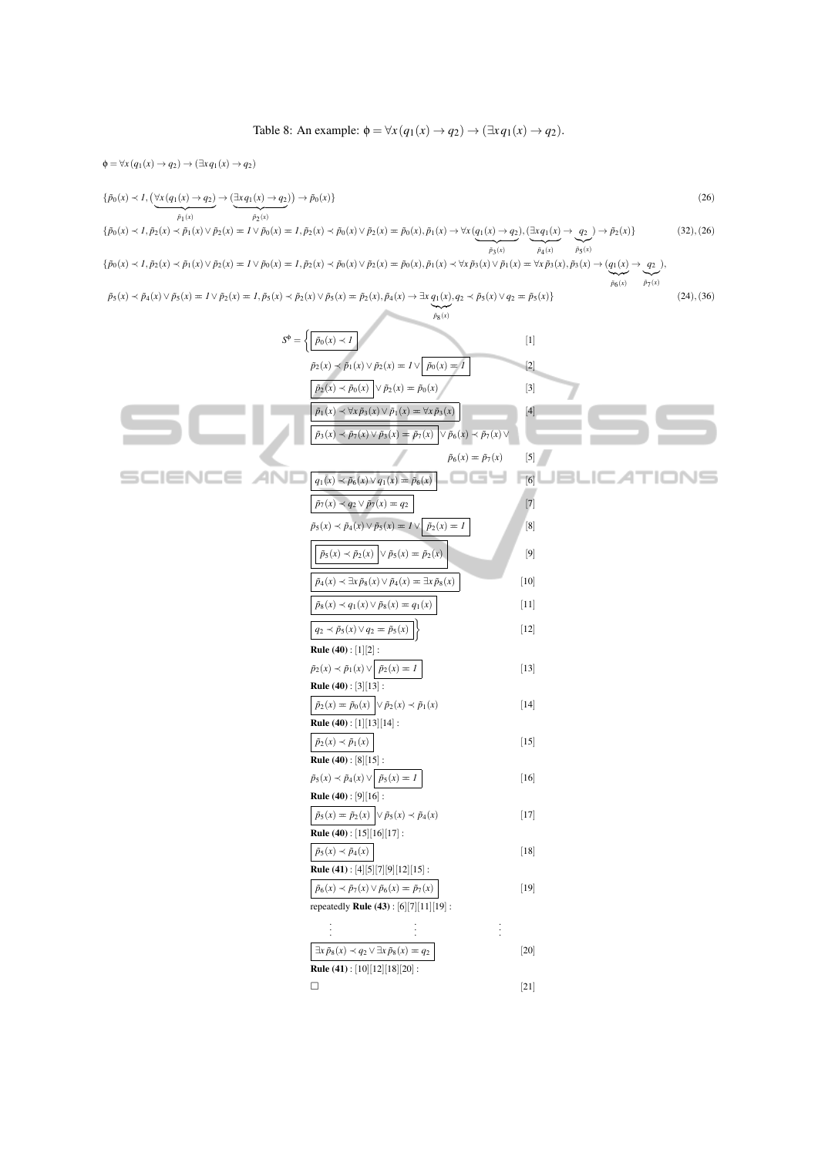Table 8: An example:  $\phi = \forall x (q_1(x) \rightarrow q_2) \rightarrow (\exists x q_1(x) \rightarrow q_2).$ 

$$
\phi = \nabla_{\lambda}(q_{1}(x) - q_{2}) \rightarrow (\exists xq_{1}(x) - q_{2}) \rightarrow \beta_{0}(x) \rightarrow p_{0}(x) \rightarrow p_{0}(x) \rightarrow p_{0}(x) \rightarrow p_{0}(x) \rightarrow p_{0}(x) \rightarrow p_{0}(x) \rightarrow p_{0}(x) \rightarrow p_{0}(x) \rightarrow p_{0}(x) \rightarrow p_{0}(x) \rightarrow p_{0}(x) \rightarrow p_{0}(x) \rightarrow p_{0}(x) \rightarrow p_{0}(x) \rightarrow p_{0}(x) \rightarrow p_{0}(x) \rightarrow p_{0}(x) \rightarrow p_{0}(x) \rightarrow p_{0}(x) \rightarrow p_{0}(x) \rightarrow p_{0}(x) \rightarrow p_{0}(x) \rightarrow p_{0}(x) \rightarrow p_{0}(x) \rightarrow p_{0}(x) \rightarrow p_{0}(x) \rightarrow p_{0}(x) \rightarrow p_{0}(x) \rightarrow p_{0}(x) \rightarrow p_{0}(x) \rightarrow p_{0}(x) \rightarrow p_{0}(x) \rightarrow p_{0}(x) \rightarrow p_{0}(x) \rightarrow p_{0}(x) \rightarrow p_{0}(x) \rightarrow p_{0}(x) \rightarrow p_{0}(x) \rightarrow p_{0}(x) \rightarrow p_{0}(x) \rightarrow p_{0}(x) \rightarrow p_{0}(x) \rightarrow p_{0}(x) \rightarrow p_{0}(x) \rightarrow p_{0}(x) \rightarrow p_{0}(x) \rightarrow p_{0}(x) \rightarrow p_{0}(x) \rightarrow p_{0}(x) \rightarrow p_{0}(x) \rightarrow p_{0}(x) \rightarrow p_{0}(x) \rightarrow p_{0}(x) \rightarrow p_{0}(x) \rightarrow p_{0}(x) \rightarrow p_{0}(x) \rightarrow p_{0}(x) \rightarrow p_{0}(x) \rightarrow p_{0}(x) \rightarrow p_{0}(x) \rightarrow p_{0}(x) \rightarrow p_{0}(x) \rightarrow p_{0}(x) \rightarrow p_{0}(x) \rightarrow p_{0}(x) \rightarrow p_{0}(x) \rightarrow p_{0}(x) \rightarrow p_{0}(x) \rightarrow p_{0}(x) \rightarrow p_{0}(x) \rightarrow p_{0}(x) \rightarrow p_{0}(x) \rightarrow p_{0}(x) \rightarrow p_{0}(x) \rightarrow p_{0}(x) \rightarrow p_{0}(x) \rightarrow p_{0}(x) \rightarrow p_{0}(x) \rightarrow p_{0}(x) \rightarrow p_{0}(x) \rightarrow p_{0}(x) \rightarrow p_{0}(x) \rightarrow p_{0}(x) \rightarrow p_{0}(x) \rightarrow p_{0}(x) \rightarrow p_{0}(x) \rightarrow p_{0}(x) \rightarrow p_{0}(x) \rightarrow p_{0}(x) \
$$